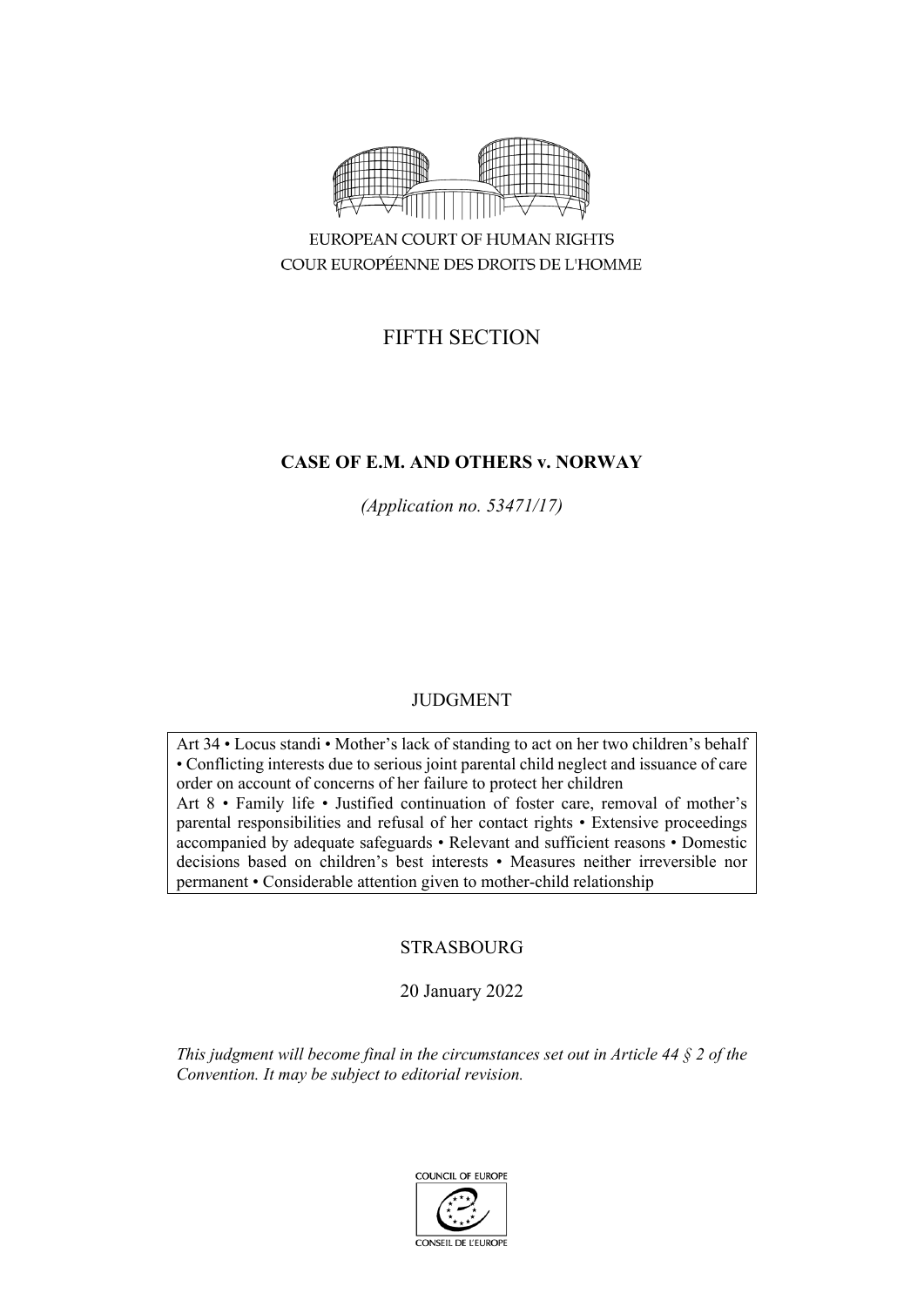

EUROPEAN COURT OF HUMAN RIGHTS COUR EUROPÉENNE DES DROITS DE L'HOMME

# FIFTH SECTION

## **CASE OF E.M. AND OTHERS v. NORWAY**

*(Application no. 53471/17)*

## JUDGMENT

Art 34 • Locus standi • Mother's lack of standing to act on her two children's behalf • Conflicting interests due to serious joint parental child neglect and issuance of care order on account of concerns of her failure to protect her children Art 8 • Family life • Justified continuation of foster care, removal of mother's parental responsibilities and refusal of her contact rights • Extensive proceedings accompanied by adequate safeguards • Relevant and sufficient reasons • Domestic decisions based on children's best interests • Measures neither irreversible nor permanent • Considerable attention given to mother-child relationship

## STRASBOURG

20 January 2022

*This judgment will become final in the circumstances set out in Article 44 § 2 of the Convention. It may be subject to editorial revision.*

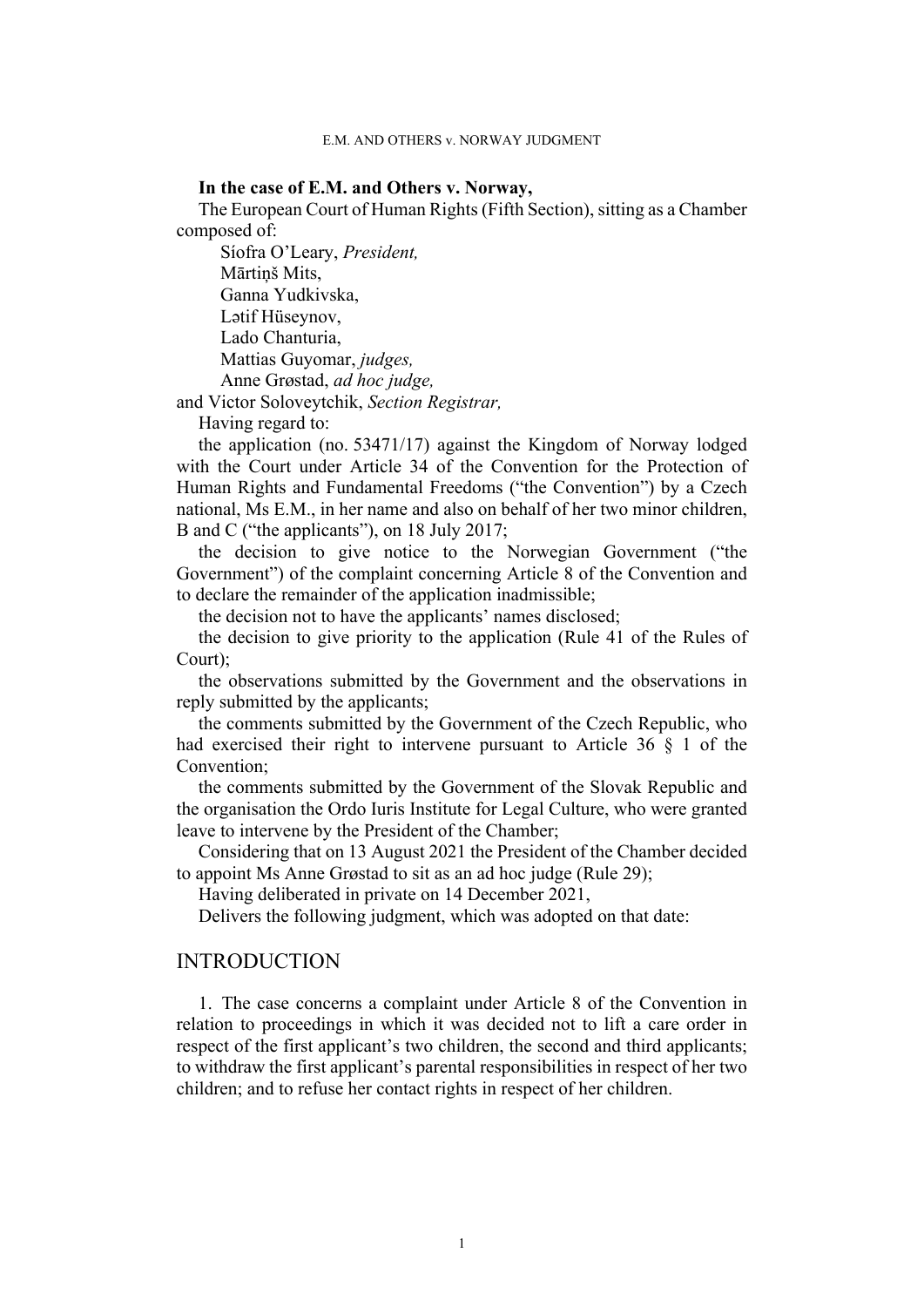### **In the case of E.M. and Others v. Norway,**

The European Court of Human Rights (Fifth Section), sitting as a Chamber composed of:

Síofra O'Leary, *President,* Mārtiņš Mits, Ganna Yudkivska, Lətif Hüseynov, Lado Chanturia, Mattias Guyomar, *judges,* Anne Grøstad, *ad hoc judge,*

and Victor Soloveytchik, *Section Registrar,*

Having regard to:

the application (no. 53471/17) against the Kingdom of Norway lodged with the Court under Article 34 of the Convention for the Protection of Human Rights and Fundamental Freedoms ("the Convention") by a Czech national, Ms E.M., in her name and also on behalf of her two minor children, B and C ("the applicants"), on 18 July 2017;

the decision to give notice to the Norwegian Government ("the Government") of the complaint concerning Article 8 of the Convention and to declare the remainder of the application inadmissible;

the decision not to have the applicants' names disclosed;

the decision to give priority to the application (Rule 41 of the Rules of Court);

the observations submitted by the Government and the observations in reply submitted by the applicants;

the comments submitted by the Government of the Czech Republic, who had exercised their right to intervene pursuant to Article 36 § 1 of the Convention;

the comments submitted by the Government of the Slovak Republic and the organisation the Ordo Iuris Institute for Legal Culture, who were granted leave to intervene by the President of the Chamber;

Considering that on 13 August 2021 the President of the Chamber decided to appoint Ms Anne Grøstad to sit as an ad hoc judge (Rule 29);

Having deliberated in private on 14 December 2021,

Delivers the following judgment, which was adopted on that date:

## **INTRODUCTION**

1. The case concerns a complaint under Article 8 of the Convention in relation to proceedings in which it was decided not to lift a care order in respect of the first applicant's two children, the second and third applicants; to withdraw the first applicant's parental responsibilities in respect of her two children; and to refuse her contact rights in respect of her children.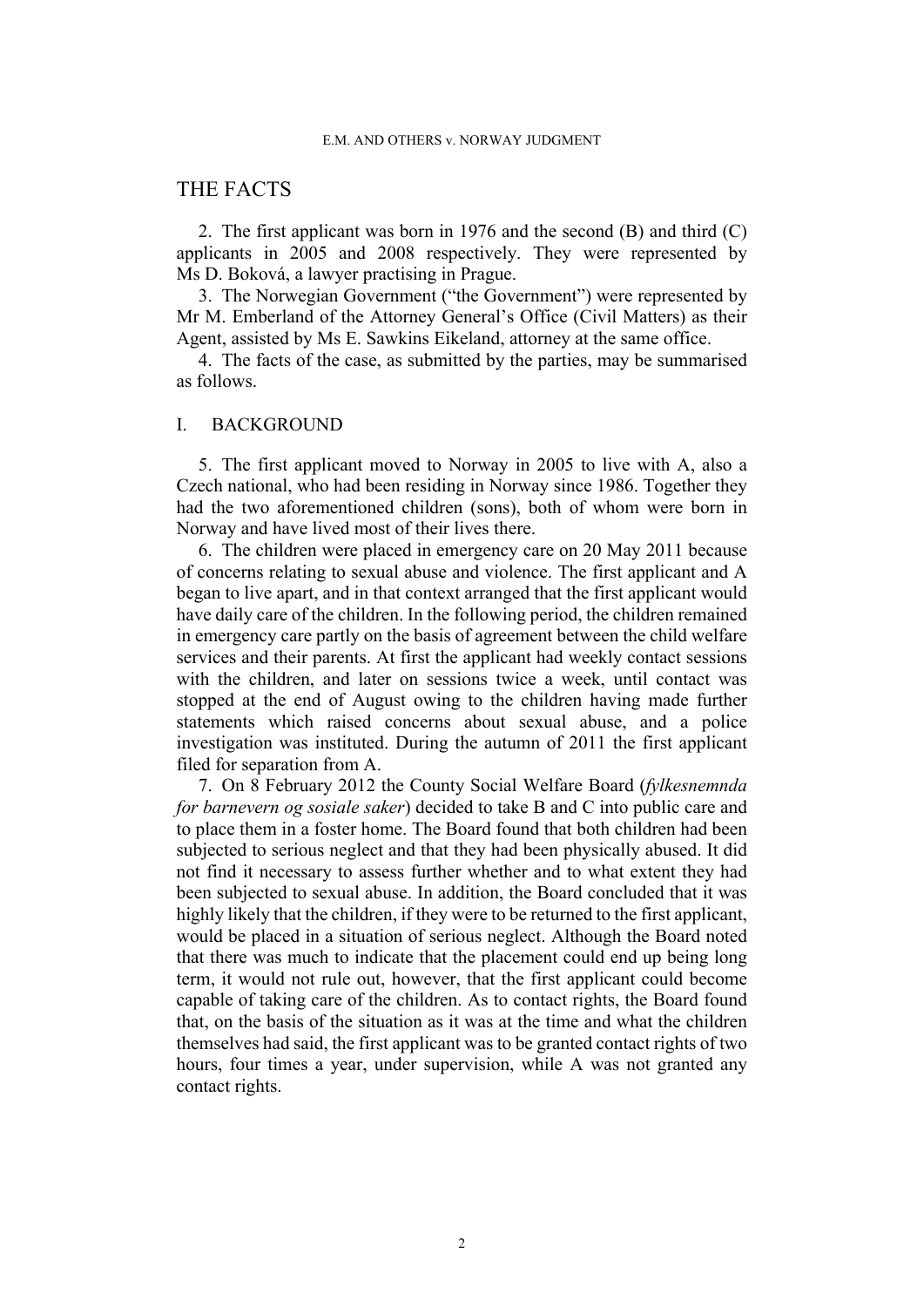## THE FACTS

2. The first applicant was born in 1976 and the second (B) and third (C) applicants in 2005 and 2008 respectively. They were represented by Ms D. Boková, a lawyer practising in Prague.

3. The Norwegian Government ("the Government") were represented by Mr M. Emberland of the Attorney General's Office (Civil Matters) as their Agent, assisted by Ms E. Sawkins Eikeland, attorney at the same office.

4. The facts of the case, as submitted by the parties, may be summarised as follows.

### I. BACKGROUND

5. The first applicant moved to Norway in 2005 to live with A, also a Czech national, who had been residing in Norway since 1986. Together they had the two aforementioned children (sons), both of whom were born in Norway and have lived most of their lives there.

<span id="page-3-0"></span>6. The children were placed in emergency care on 20 May 2011 because of concerns relating to sexual abuse and violence. The first applicant and A began to live apart, and in that context arranged that the first applicant would have daily care of the children. In the following period, the children remained in emergency care partly on the basis of agreement between the child welfare services and their parents. At first the applicant had weekly contact sessions with the children, and later on sessions twice a week, until contact was stopped at the end of August owing to the children having made further statements which raised concerns about sexual abuse, and a police investigation was instituted. During the autumn of 2011 the first applicant filed for separation from A.

<span id="page-3-1"></span>7. On 8 February 2012 the County Social Welfare Board (*fylkesnemnda for barnevern og sosiale saker*) decided to take B and C into public care and to place them in a foster home. The Board found that both children had been subjected to serious neglect and that they had been physically abused. It did not find it necessary to assess further whether and to what extent they had been subjected to sexual abuse. In addition, the Board concluded that it was highly likely that the children, if they were to be returned to the first applicant, would be placed in a situation of serious neglect. Although the Board noted that there was much to indicate that the placement could end up being long term, it would not rule out, however, that the first applicant could become capable of taking care of the children. As to contact rights, the Board found that, on the basis of the situation as it was at the time and what the children themselves had said, the first applicant was to be granted contact rights of two hours, four times a year, under supervision, while A was not granted any contact rights.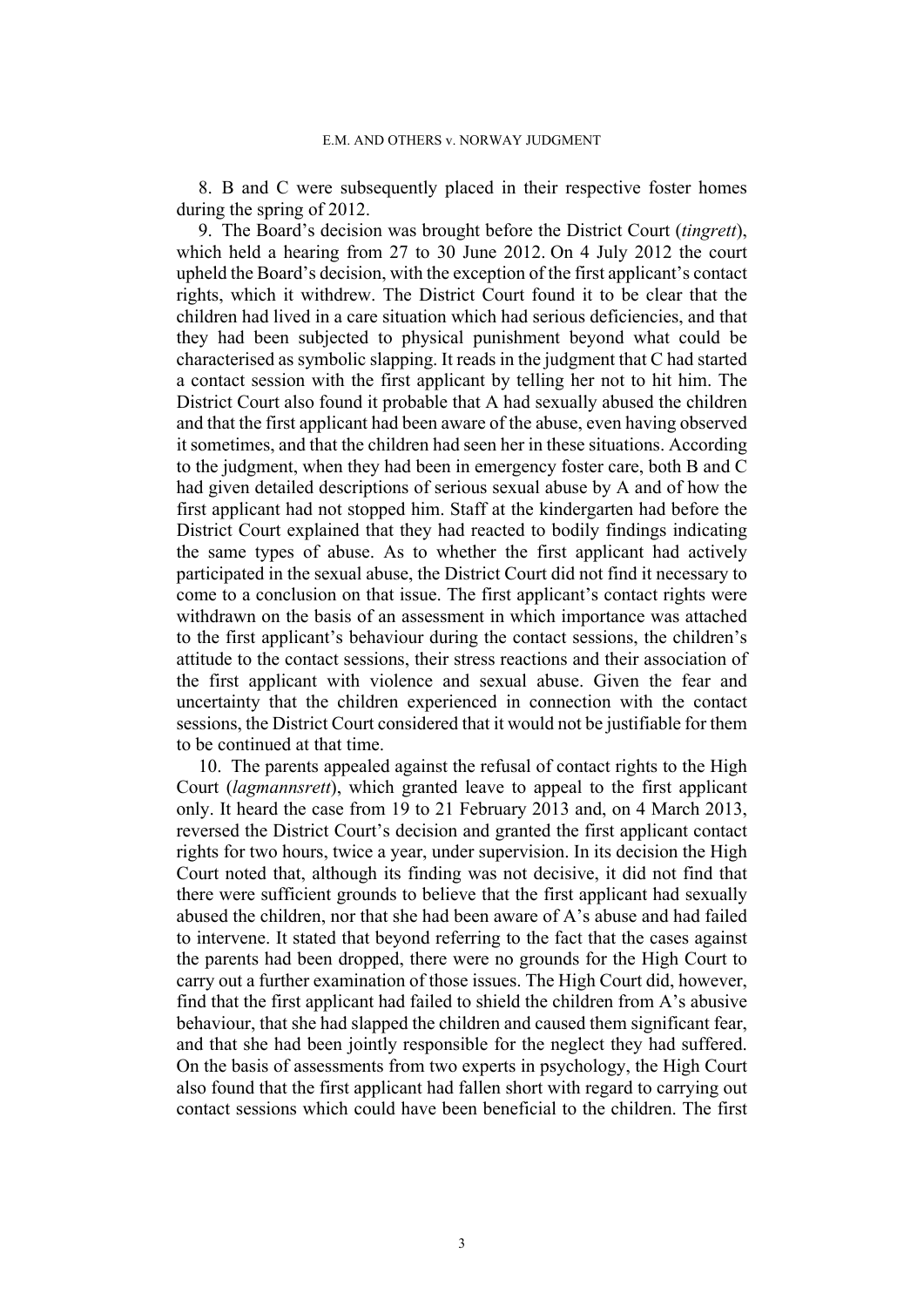8. B and C were subsequently placed in their respective foster homes during the spring of 2012.

<span id="page-4-0"></span>9. The Board's decision was brought before the District Court (*tingrett*), which held a hearing from 27 to 30 June 2012. On 4 July 2012 the court upheld the Board's decision, with the exception of the first applicant's contact rights, which it withdrew. The District Court found it to be clear that the children had lived in a care situation which had serious deficiencies, and that they had been subjected to physical punishment beyond what could be characterised as symbolic slapping. It reads in the judgment that C had started a contact session with the first applicant by telling her not to hit him. The District Court also found it probable that A had sexually abused the children and that the first applicant had been aware of the abuse, even having observed it sometimes, and that the children had seen her in these situations. According to the judgment, when they had been in emergency foster care, both B and C had given detailed descriptions of serious sexual abuse by A and of how the first applicant had not stopped him. Staff at the kindergarten had before the District Court explained that they had reacted to bodily findings indicating the same types of abuse. As to whether the first applicant had actively participated in the sexual abuse, the District Court did not find it necessary to come to a conclusion on that issue. The first applicant's contact rights were withdrawn on the basis of an assessment in which importance was attached to the first applicant's behaviour during the contact sessions, the children's attitude to the contact sessions, their stress reactions and their association of the first applicant with violence and sexual abuse. Given the fear and uncertainty that the children experienced in connection with the contact sessions, the District Court considered that it would not be justifiable for them to be continued at that time.

<span id="page-4-1"></span>10. The parents appealed against the refusal of contact rights to the High Court (*lagmannsrett*), which granted leave to appeal to the first applicant only. It heard the case from 19 to 21 February 2013 and, on 4 March 2013, reversed the District Court's decision and granted the first applicant contact rights for two hours, twice a year, under supervision. In its decision the High Court noted that, although its finding was not decisive, it did not find that there were sufficient grounds to believe that the first applicant had sexually abused the children, nor that she had been aware of A's abuse and had failed to intervene. It stated that beyond referring to the fact that the cases against the parents had been dropped, there were no grounds for the High Court to carry out a further examination of those issues. The High Court did, however, find that the first applicant had failed to shield the children from A's abusive behaviour, that she had slapped the children and caused them significant fear, and that she had been jointly responsible for the neglect they had suffered. On the basis of assessments from two experts in psychology, the High Court also found that the first applicant had fallen short with regard to carrying out contact sessions which could have been beneficial to the children. The first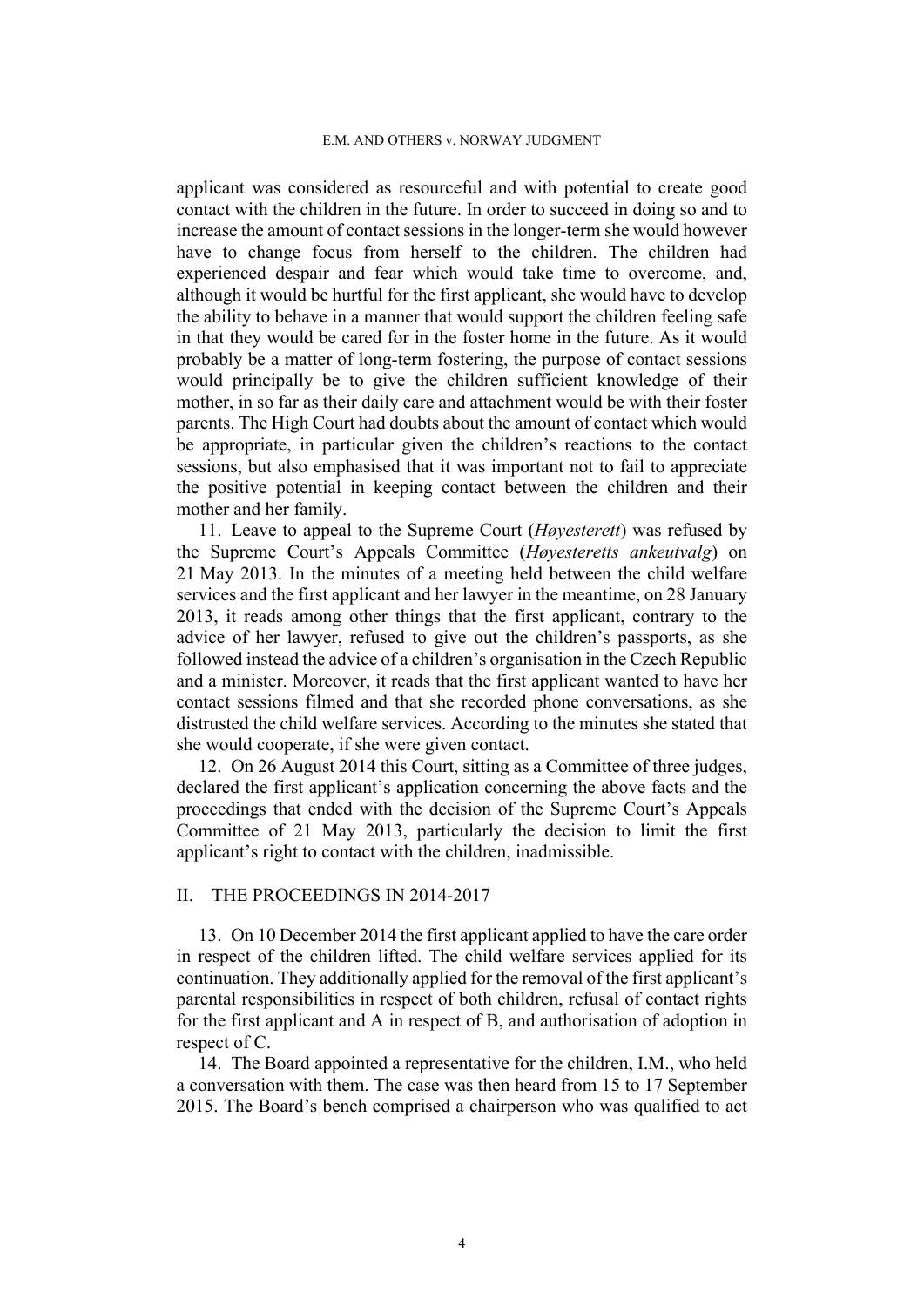applicant was considered as resourceful and with potential to create good contact with the children in the future. In order to succeed in doing so and to increase the amount of contact sessions in the longer-term she would however have to change focus from herself to the children. The children had experienced despair and fear which would take time to overcome, and, although it would be hurtful for the first applicant, she would have to develop the ability to behave in a manner that would support the children feeling safe in that they would be cared for in the foster home in the future. As it would probably be a matter of long-term fostering, the purpose of contact sessions would principally be to give the children sufficient knowledge of their mother, in so far as their daily care and attachment would be with their foster parents. The High Court had doubts about the amount of contact which would be appropriate, in particular given the children's reactions to the contact sessions, but also emphasised that it was important not to fail to appreciate the positive potential in keeping contact between the children and their mother and her family.

<span id="page-5-1"></span>11. Leave to appeal to the Supreme Court (*Høyesterett*) was refused by the Supreme Court's Appeals Committee (*Høyesteretts ankeutvalg*) on 21 May 2013. In the minutes of a meeting held between the child welfare services and the first applicant and her lawyer in the meantime, on 28 January 2013, it reads among other things that the first applicant, contrary to the advice of her lawyer, refused to give out the children's passports, as she followed instead the advice of a children's organisation in the Czech Republic and a minister. Moreover, it reads that the first applicant wanted to have her contact sessions filmed and that she recorded phone conversations, as she distrusted the child welfare services. According to the minutes she stated that she would cooperate, if she were given contact.

<span id="page-5-2"></span>12. On 26 August 2014 this Court, sitting as a Committee of three judges, declared the first applicant's application concerning the above facts and the proceedings that ended with the decision of the Supreme Court's Appeals Committee of 21 May 2013, particularly the decision to limit the first applicant's right to contact with the children, inadmissible.

### II. THE PROCEEDINGS IN 2014-2017

<span id="page-5-3"></span>13. On 10 December 2014 the first applicant applied to have the care order in respect of the children lifted. The child welfare services applied for its continuation. They additionally applied for the removal of the first applicant's parental responsibilities in respect of both children, refusal of contact rights for the first applicant and A in respect of B, and authorisation of adoption in respect of C.

<span id="page-5-0"></span>14. The Board appointed a representative for the children, I.M., who held a conversation with them. The case was then heard from 15 to 17 September 2015. The Board's bench comprised a chairperson who was qualified to act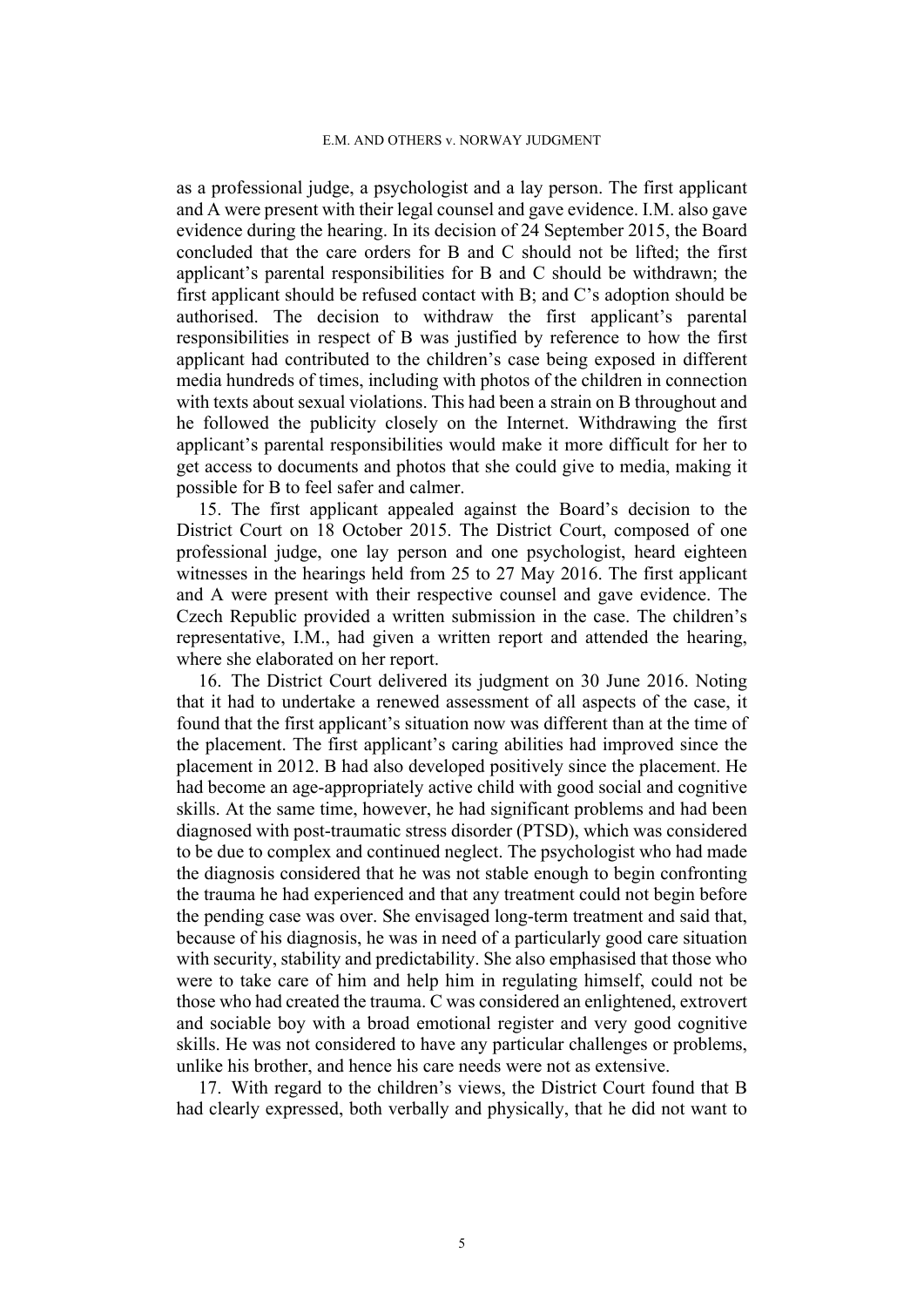as a professional judge, a psychologist and a lay person. The first applicant and A were present with their legal counsel and gave evidence. I.M. also gave evidence during the hearing. In its decision of 24 September 2015, the Board concluded that the care orders for B and C should not be lifted; the first applicant's parental responsibilities for B and C should be withdrawn; the first applicant should be refused contact with B; and C's adoption should be authorised. The decision to withdraw the first applicant's parental responsibilities in respect of B was justified by reference to how the first applicant had contributed to the children's case being exposed in different media hundreds of times, including with photos of the children in connection with texts about sexual violations. This had been a strain on B throughout and he followed the publicity closely on the Internet. Withdrawing the first applicant's parental responsibilities would make it more difficult for her to get access to documents and photos that she could give to media, making it possible for B to feel safer and calmer.

<span id="page-6-1"></span>15. The first applicant appealed against the Board's decision to the District Court on 18 October 2015. The District Court, composed of one professional judge, one lay person and one psychologist, heard eighteen witnesses in the hearings held from 25 to 27 May 2016. The first applicant and A were present with their respective counsel and gave evidence. The Czech Republic provided a written submission in the case. The children's representative, I.M., had given a written report and attended the hearing, where she elaborated on her report.

<span id="page-6-0"></span>16. The District Court delivered its judgment on 30 June 2016. Noting that it had to undertake a renewed assessment of all aspects of the case, it found that the first applicant's situation now was different than at the time of the placement. The first applicant's caring abilities had improved since the placement in 2012. B had also developed positively since the placement. He had become an age-appropriately active child with good social and cognitive skills. At the same time, however, he had significant problems and had been diagnosed with post-traumatic stress disorder (PTSD), which was considered to be due to complex and continued neglect. The psychologist who had made the diagnosis considered that he was not stable enough to begin confronting the trauma he had experienced and that any treatment could not begin before the pending case was over. She envisaged long-term treatment and said that, because of his diagnosis, he was in need of a particularly good care situation with security, stability and predictability. She also emphasised that those who were to take care of him and help him in regulating himself, could not be those who had created the trauma. C was considered an enlightened, extrovert and sociable boy with a broad emotional register and very good cognitive skills. He was not considered to have any particular challenges or problems, unlike his brother, and hence his care needs were not as extensive.

17. With regard to the children's views, the District Court found that B had clearly expressed, both verbally and physically, that he did not want to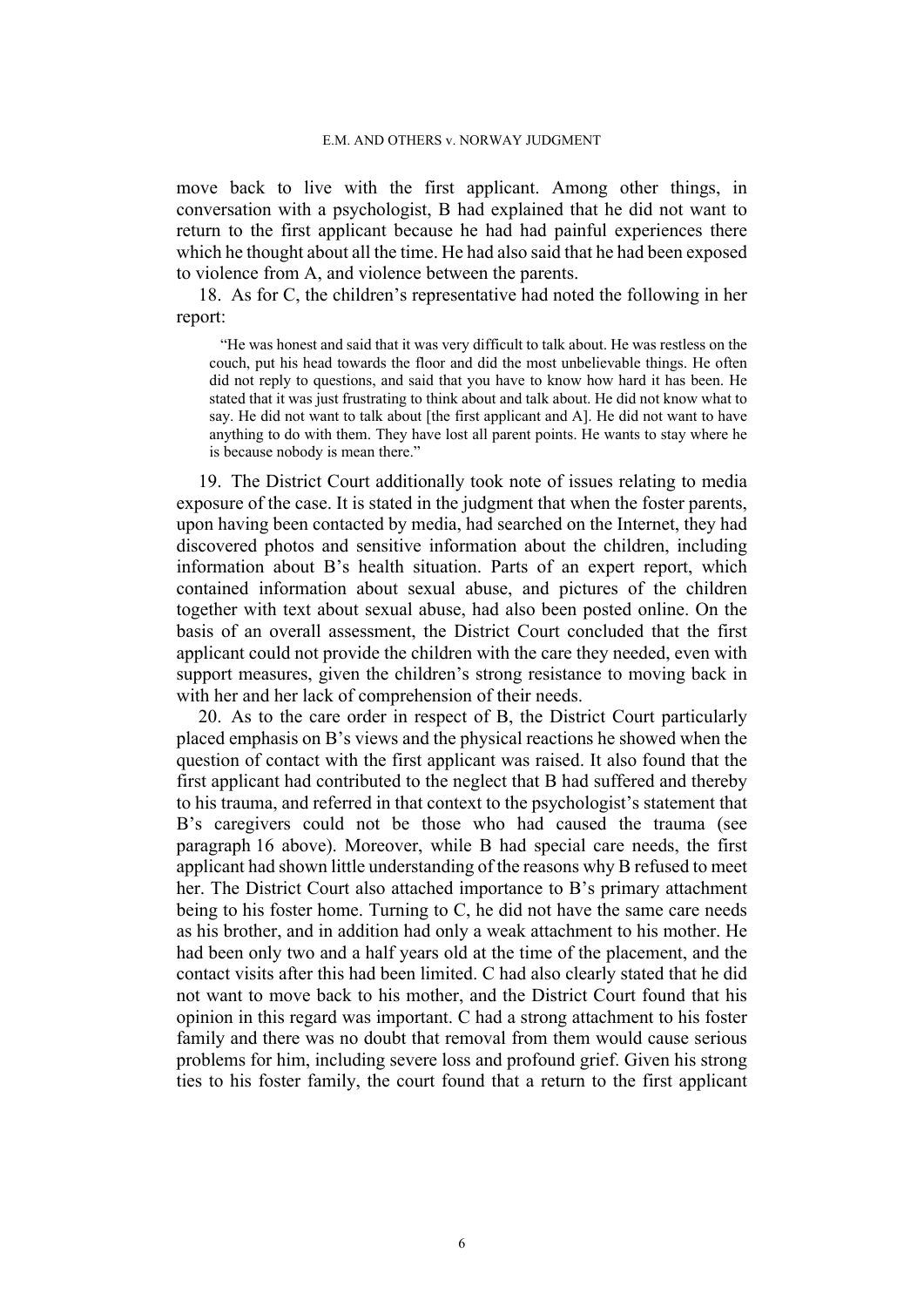move back to live with the first applicant. Among other things, in conversation with a psychologist, B had explained that he did not want to return to the first applicant because he had had painful experiences there which he thought about all the time. He had also said that he had been exposed to violence from A, and violence between the parents.

<span id="page-7-1"></span>18. As for C, the children's representative had noted the following in her report:

"He was honest and said that it was very difficult to talk about. He was restless on the couch, put his head towards the floor and did the most unbelievable things. He often did not reply to questions, and said that you have to know how hard it has been. He stated that it was just frustrating to think about and talk about. He did not know what to say. He did not want to talk about [the first applicant and A]. He did not want to have anything to do with them. They have lost all parent points. He wants to stay where he is because nobody is mean there."

19. The District Court additionally took note of issues relating to media exposure of the case. It is stated in the judgment that when the foster parents, upon having been contacted by media, had searched on the Internet, they had discovered photos and sensitive information about the children, including information about B's health situation. Parts of an expert report, which contained information about sexual abuse, and pictures of the children together with text about sexual abuse, had also been posted online. On the basis of an overall assessment, the District Court concluded that the first applicant could not provide the children with the care they needed, even with support measures, given the children's strong resistance to moving back in with her and her lack of comprehension of their needs.

<span id="page-7-0"></span>20. As to the care order in respect of B, the District Court particularly placed emphasis on B's views and the physical reactions he showed when the question of contact with the first applicant was raised. It also found that the first applicant had contributed to the neglect that B had suffered and thereby to his trauma, and referred in that context to the psychologist's statement that B's caregivers could not be those who had caused the trauma (see paragraph [16](#page-6-0) above). Moreover, while B had special care needs, the first applicant had shown little understanding of the reasons why B refused to meet her. The District Court also attached importance to B's primary attachment being to his foster home. Turning to C, he did not have the same care needs as his brother, and in addition had only a weak attachment to his mother. He had been only two and a half years old at the time of the placement, and the contact visits after this had been limited. C had also clearly stated that he did not want to move back to his mother, and the District Court found that his opinion in this regard was important. C had a strong attachment to his foster family and there was no doubt that removal from them would cause serious problems for him, including severe loss and profound grief. Given his strong ties to his foster family, the court found that a return to the first applicant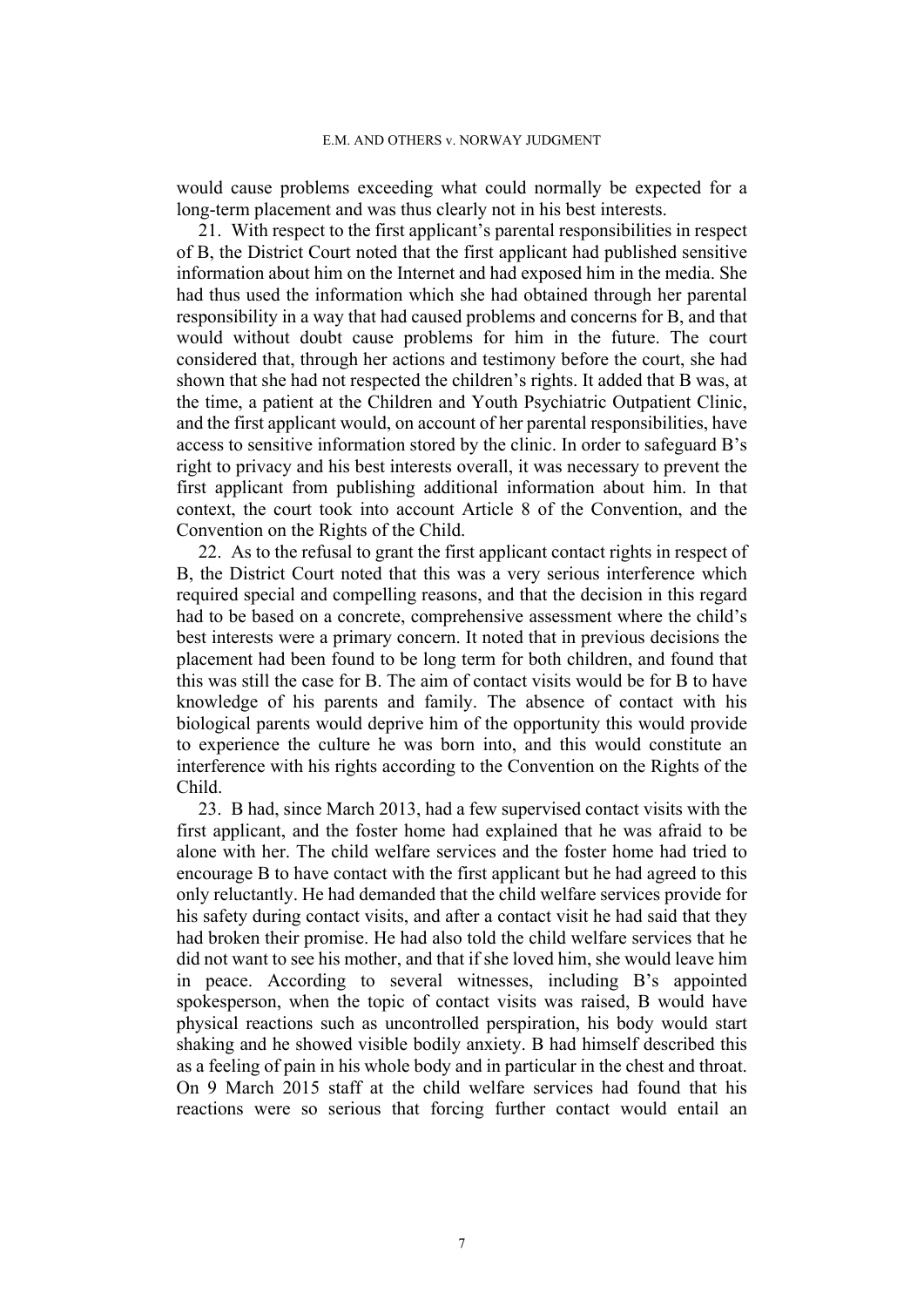would cause problems exceeding what could normally be expected for a long-term placement and was thus clearly not in his best interests.

<span id="page-8-0"></span>21. With respect to the first applicant's parental responsibilities in respect of B, the District Court noted that the first applicant had published sensitive information about him on the Internet and had exposed him in the media. She had thus used the information which she had obtained through her parental responsibility in a way that had caused problems and concerns for B, and that would without doubt cause problems for him in the future. The court considered that, through her actions and testimony before the court, she had shown that she had not respected the children's rights. It added that B was, at the time, a patient at the Children and Youth Psychiatric Outpatient Clinic, and the first applicant would, on account of her parental responsibilities, have access to sensitive information stored by the clinic. In order to safeguard B's right to privacy and his best interests overall, it was necessary to prevent the first applicant from publishing additional information about him. In that context, the court took into account Article 8 of the Convention, and the Convention on the Rights of the Child.

22. As to the refusal to grant the first applicant contact rights in respect of B, the District Court noted that this was a very serious interference which required special and compelling reasons, and that the decision in this regard had to be based on a concrete, comprehensive assessment where the child's best interests were a primary concern. It noted that in previous decisions the placement had been found to be long term for both children, and found that this was still the case for B. The aim of contact visits would be for B to have knowledge of his parents and family. The absence of contact with his biological parents would deprive him of the opportunity this would provide to experience the culture he was born into, and this would constitute an interference with his rights according to the Convention on the Rights of the Child.

<span id="page-8-1"></span>23. B had, since March 2013, had a few supervised contact visits with the first applicant, and the foster home had explained that he was afraid to be alone with her. The child welfare services and the foster home had tried to encourage B to have contact with the first applicant but he had agreed to this only reluctantly. He had demanded that the child welfare services provide for his safety during contact visits, and after a contact visit he had said that they had broken their promise. He had also told the child welfare services that he did not want to see his mother, and that if she loved him, she would leave him in peace. According to several witnesses, including B's appointed spokesperson, when the topic of contact visits was raised, B would have physical reactions such as uncontrolled perspiration, his body would start shaking and he showed visible bodily anxiety. B had himself described this as a feeling of pain in his whole body and in particular in the chest and throat. On 9 March 2015 staff at the child welfare services had found that his reactions were so serious that forcing further contact would entail an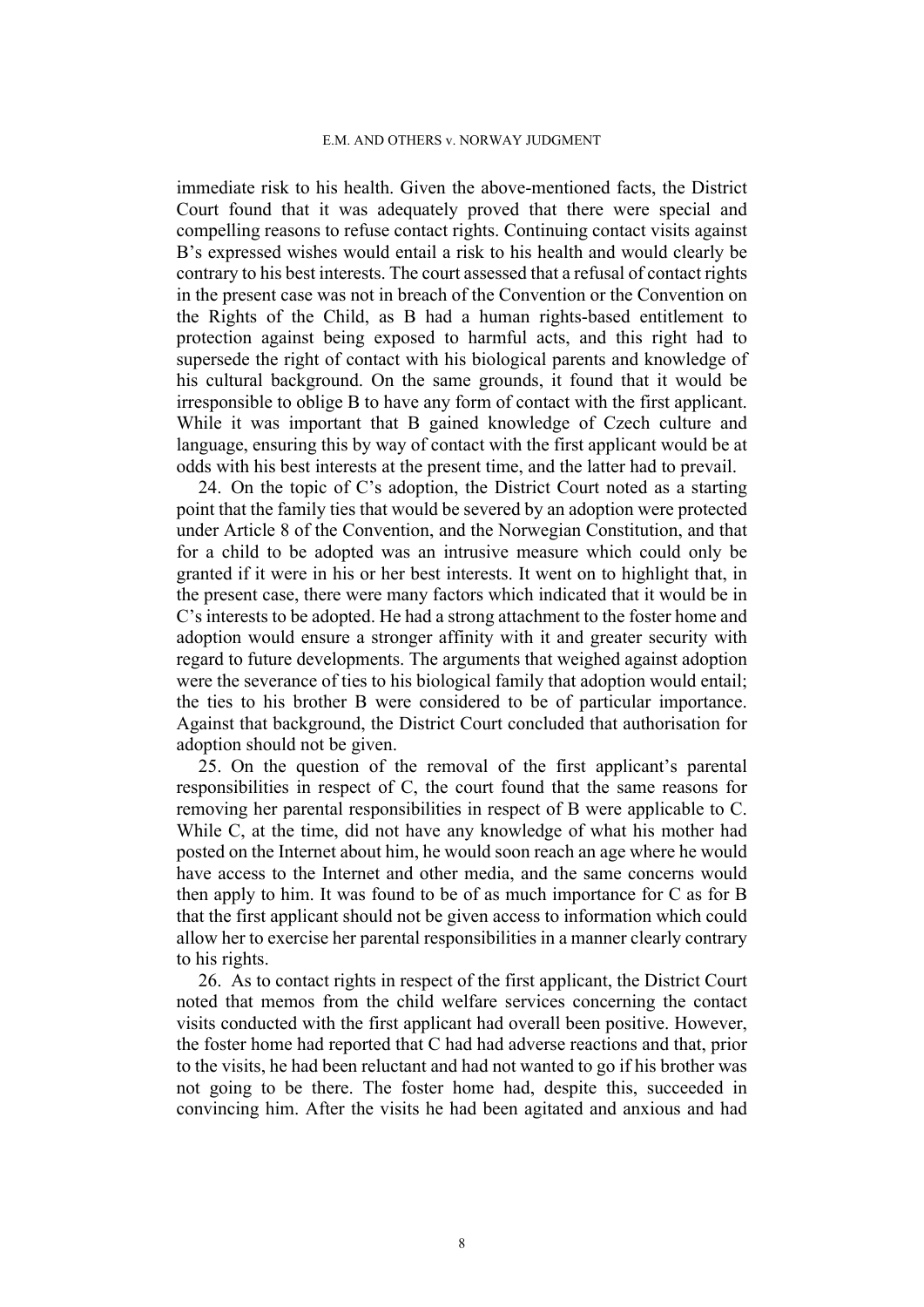immediate risk to his health. Given the above-mentioned facts, the District Court found that it was adequately proved that there were special and compelling reasons to refuse contact rights. Continuing contact visits against B's expressed wishes would entail a risk to his health and would clearly be contrary to his best interests. The court assessed that a refusal of contact rights in the present case was not in breach of the Convention or the Convention on the Rights of the Child, as B had a human rights-based entitlement to protection against being exposed to harmful acts, and this right had to supersede the right of contact with his biological parents and knowledge of his cultural background. On the same grounds, it found that it would be irresponsible to oblige B to have any form of contact with the first applicant. While it was important that B gained knowledge of Czech culture and language, ensuring this by way of contact with the first applicant would be at odds with his best interests at the present time, and the latter had to prevail.

24. On the topic of C's adoption, the District Court noted as a starting point that the family ties that would be severed by an adoption were protected under Article 8 of the Convention, and the Norwegian Constitution, and that for a child to be adopted was an intrusive measure which could only be granted if it were in his or her best interests. It went on to highlight that, in the present case, there were many factors which indicated that it would be in C's interests to be adopted. He had a strong attachment to the foster home and adoption would ensure a stronger affinity with it and greater security with regard to future developments. The arguments that weighed against adoption were the severance of ties to his biological family that adoption would entail; the ties to his brother B were considered to be of particular importance. Against that background, the District Court concluded that authorisation for adoption should not be given.

<span id="page-9-1"></span>25. On the question of the removal of the first applicant's parental responsibilities in respect of C, the court found that the same reasons for removing her parental responsibilities in respect of B were applicable to C. While C, at the time, did not have any knowledge of what his mother had posted on the Internet about him, he would soon reach an age where he would have access to the Internet and other media, and the same concerns would then apply to him. It was found to be of as much importance for C as for B that the first applicant should not be given access to information which could allow her to exercise her parental responsibilities in a manner clearly contrary to his rights.

<span id="page-9-0"></span>26. As to contact rights in respect of the first applicant, the District Court noted that memos from the child welfare services concerning the contact visits conducted with the first applicant had overall been positive. However, the foster home had reported that C had had adverse reactions and that, prior to the visits, he had been reluctant and had not wanted to go if his brother was not going to be there. The foster home had, despite this, succeeded in convincing him. After the visits he had been agitated and anxious and had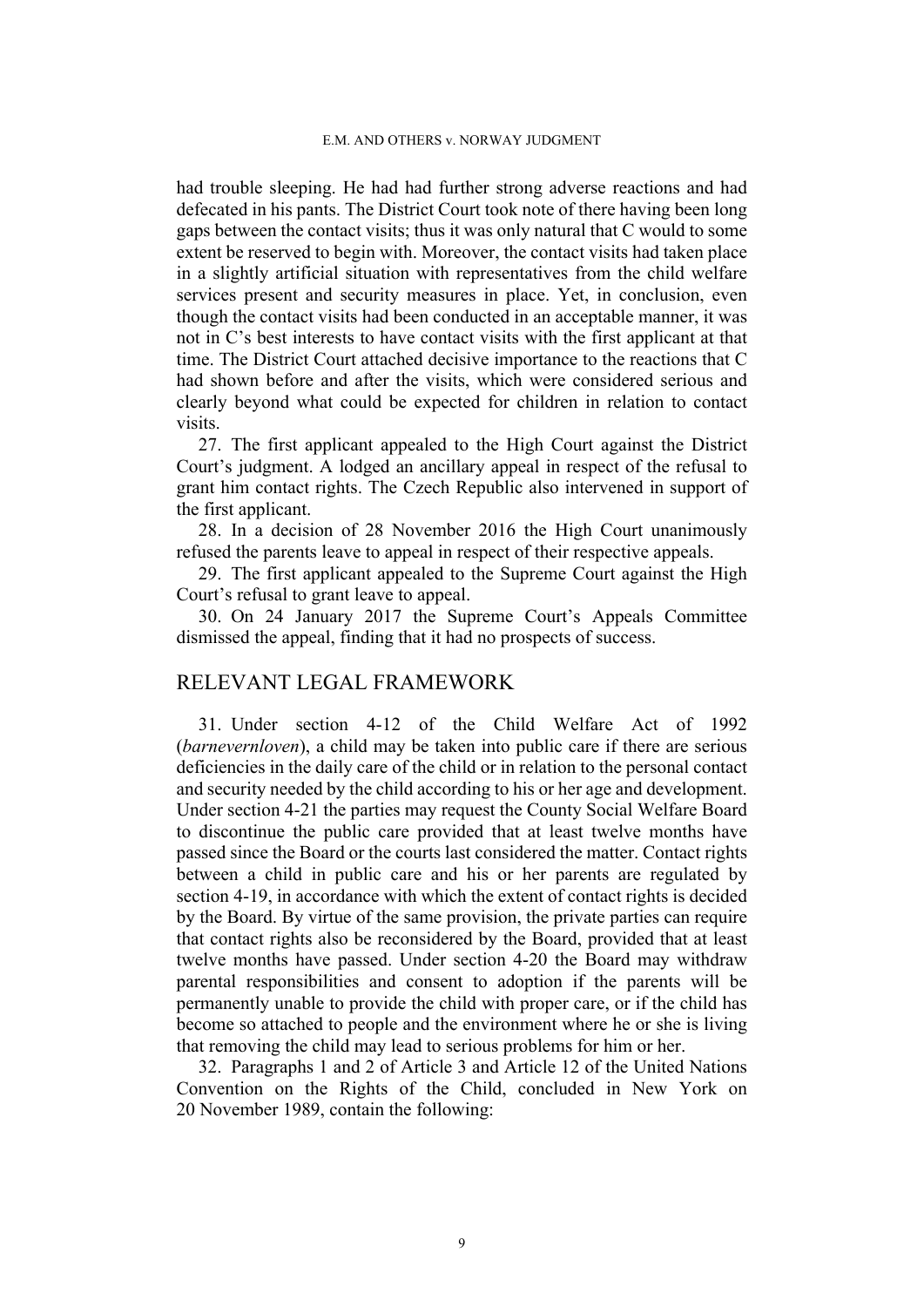had trouble sleeping. He had had further strong adverse reactions and had defecated in his pants. The District Court took note of there having been long gaps between the contact visits; thus it was only natural that C would to some extent be reserved to begin with. Moreover, the contact visits had taken place in a slightly artificial situation with representatives from the child welfare services present and security measures in place. Yet, in conclusion, even though the contact visits had been conducted in an acceptable manner, it was not in C's best interests to have contact visits with the first applicant at that time. The District Court attached decisive importance to the reactions that C had shown before and after the visits, which were considered serious and clearly beyond what could be expected for children in relation to contact visits.

27. The first applicant appealed to the High Court against the District Court's judgment. A lodged an ancillary appeal in respect of the refusal to grant him contact rights. The Czech Republic also intervened in support of the first applicant.

28. In a decision of 28 November 2016 the High Court unanimously refused the parents leave to appeal in respect of their respective appeals.

29. The first applicant appealed to the Supreme Court against the High Court's refusal to grant leave to appeal.

<span id="page-10-1"></span>30. On 24 January 2017 the Supreme Court's Appeals Committee dismissed the appeal, finding that it had no prospects of success.

## RELEVANT LEGAL FRAMEWORK

<span id="page-10-0"></span>31. Under section 4-12 of the Child Welfare Act of 1992 (*barnevernloven*), a child may be taken into public care if there are serious deficiencies in the daily care of the child or in relation to the personal contact and security needed by the child according to his or her age and development. Under section 4-21 the parties may request the County Social Welfare Board to discontinue the public care provided that at least twelve months have passed since the Board or the courts last considered the matter. Contact rights between a child in public care and his or her parents are regulated by section 4-19, in accordance with which the extent of contact rights is decided by the Board. By virtue of the same provision, the private parties can require that contact rights also be reconsidered by the Board, provided that at least twelve months have passed. Under section 4-20 the Board may withdraw parental responsibilities and consent to adoption if the parents will be permanently unable to provide the child with proper care, or if the child has become so attached to people and the environment where he or she is living that removing the child may lead to serious problems for him or her.

32. Paragraphs 1 and 2 of Article 3 and Article 12 of the United Nations Convention on the Rights of the Child, concluded in New York on 20 November 1989, contain the following: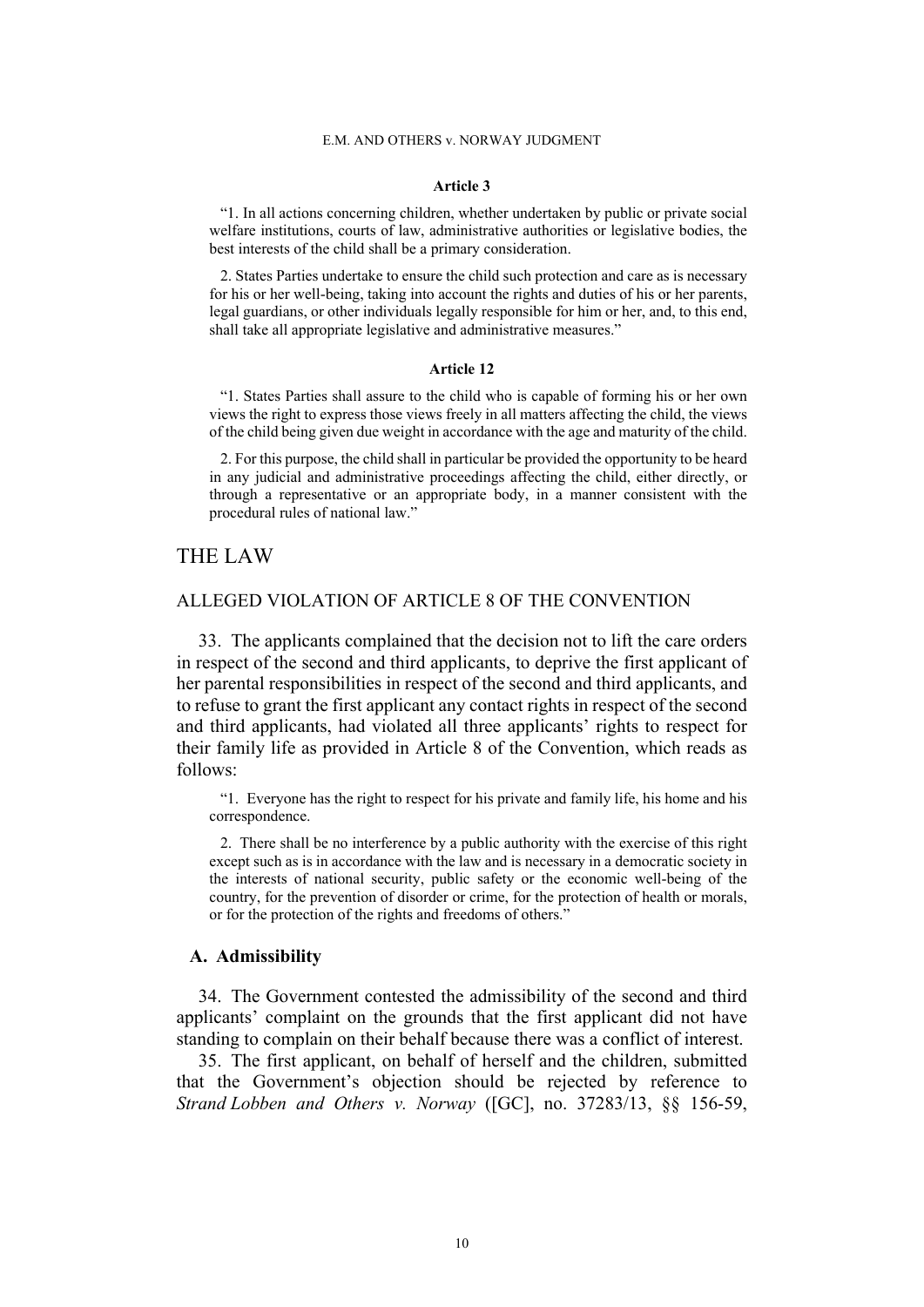#### **Article 3**

"1. In all actions concerning children, whether undertaken by public or private social welfare institutions, courts of law, administrative authorities or legislative bodies, the best interests of the child shall be a primary consideration.

2. States Parties undertake to ensure the child such protection and care as is necessary for his or her well-being, taking into account the rights and duties of his or her parents, legal guardians, or other individuals legally responsible for him or her, and, to this end, shall take all appropriate legislative and administrative measures."

#### **Article 12**

"1. States Parties shall assure to the child who is capable of forming his or her own views the right to express those views freely in all matters affecting the child, the views of the child being given due weight in accordance with the age and maturity of the child.

2. For this purpose, the child shall in particular be provided the opportunity to be heard in any judicial and administrative proceedings affecting the child, either directly, or through a representative or an appropriate body, in a manner consistent with the procedural rules of national law."

## THE LAW

### ALLEGED VIOLATION OF ARTICLE 8 OF THE CONVENTION

33. The applicants complained that the decision not to lift the care orders in respect of the second and third applicants, to deprive the first applicant of her parental responsibilities in respect of the second and third applicants, and to refuse to grant the first applicant any contact rights in respect of the second and third applicants, had violated all three applicants' rights to respect for their family life as provided in Article 8 of the Convention, which reads as follows:

"1. Everyone has the right to respect for his private and family life, his home and his correspondence.

2. There shall be no interference by a public authority with the exercise of this right except such as is in accordance with the law and is necessary in a democratic society in the interests of national security, public safety or the economic well-being of the country, for the prevention of disorder or crime, for the protection of health or morals, or for the protection of the rights and freedoms of others."

### **A. Admissibility**

34. The Government contested the admissibility of the second and third applicants' complaint on the grounds that the first applicant did not have standing to complain on their behalf because there was a conflict of interest.

35. The first applicant, on behalf of herself and the children, submitted that the Government's objection should be rejected by reference to *Strand Lobben and Others v. Norway* ([GC], no. 37283/13, §§ 156-59,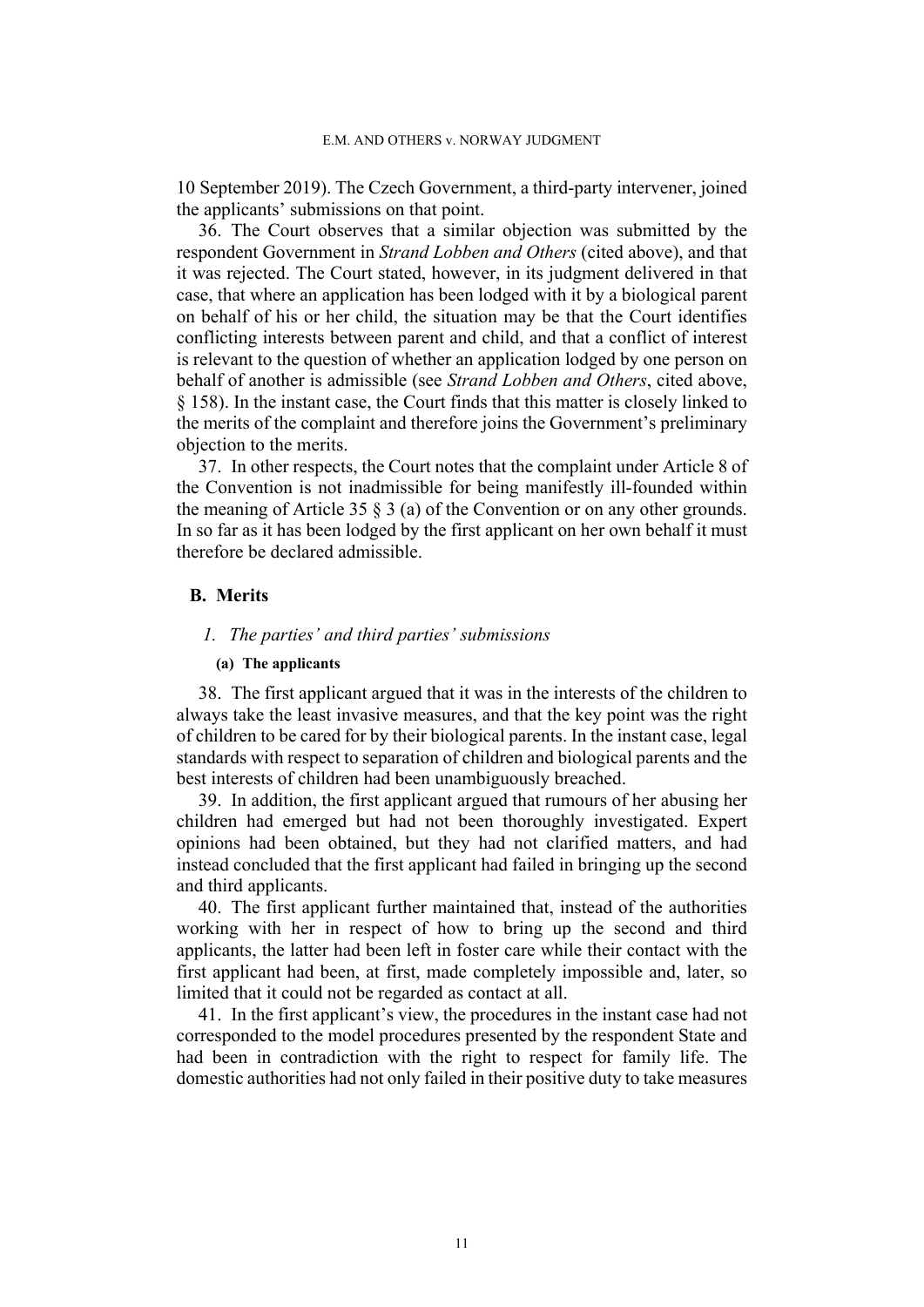10 September 2019). The Czech Government, a third-party intervener, joined the applicants' submissions on that point.

<span id="page-12-0"></span>36. The Court observes that a similar objection was submitted by the respondent Government in *Strand Lobben and Others* (cited above), and that it was rejected. The Court stated, however, in its judgment delivered in that case, that where an application has been lodged with it by a biological parent on behalf of his or her child, the situation may be that the Court identifies conflicting interests between parent and child, and that a conflict of interest is relevant to the question of whether an application lodged by one person on behalf of another is admissible (see *Strand Lobben and Others*, cited above, § 158). In the instant case, the Court finds that this matter is closely linked to the merits of the complaint and therefore joins the Government's preliminary objection to the merits.

37. In other respects, the Court notes that the complaint under Article 8 of the Convention is not inadmissible for being manifestly ill-founded within the meaning of Article 35 § 3 (a) of the Convention or on any other grounds. In so far as it has been lodged by the first applicant on her own behalf it must therefore be declared admissible.

### **B. Merits**

### *1. The parties' and third parties' submissions*

#### **(a) The applicants**

38. The first applicant argued that it was in the interests of the children to always take the least invasive measures, and that the key point was the right of children to be cared for by their biological parents. In the instant case, legal standards with respect to separation of children and biological parents and the best interests of children had been unambiguously breached.

39. In addition, the first applicant argued that rumours of her abusing her children had emerged but had not been thoroughly investigated. Expert opinions had been obtained, but they had not clarified matters, and had instead concluded that the first applicant had failed in bringing up the second and third applicants.

40. The first applicant further maintained that, instead of the authorities working with her in respect of how to bring up the second and third applicants, the latter had been left in foster care while their contact with the first applicant had been, at first, made completely impossible and, later, so limited that it could not be regarded as contact at all.

41. In the first applicant's view, the procedures in the instant case had not corresponded to the model procedures presented by the respondent State and had been in contradiction with the right to respect for family life. The domestic authorities had not only failed in their positive duty to take measures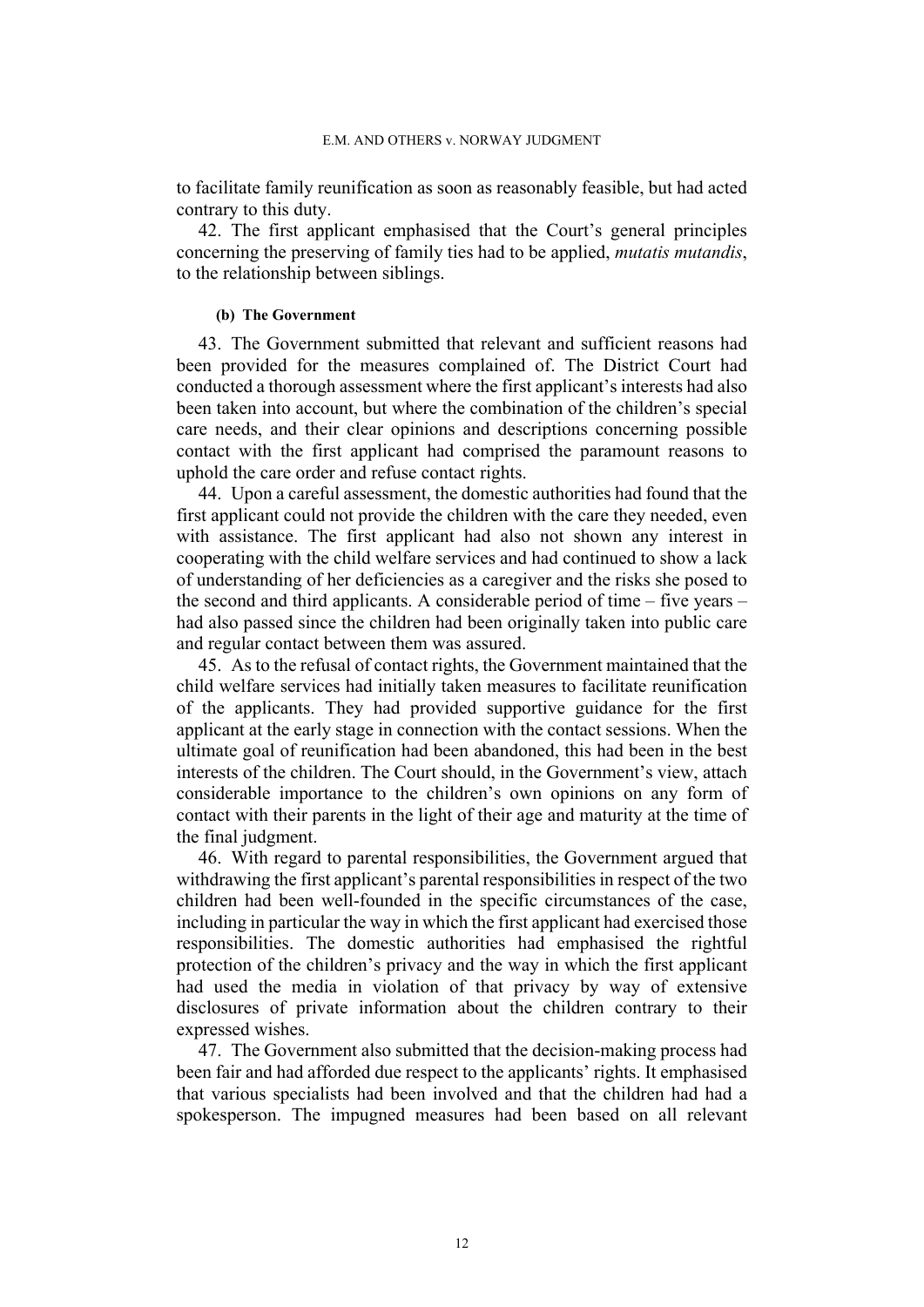to facilitate family reunification as soon as reasonably feasible, but had acted contrary to this duty.

42. The first applicant emphasised that the Court's general principles concerning the preserving of family ties had to be applied, *mutatis mutandis*, to the relationship between siblings.

#### **(b) The Government**

43. The Government submitted that relevant and sufficient reasons had been provided for the measures complained of. The District Court had conducted a thorough assessment where the first applicant's interests had also been taken into account, but where the combination of the children's special care needs, and their clear opinions and descriptions concerning possible contact with the first applicant had comprised the paramount reasons to uphold the care order and refuse contact rights.

44. Upon a careful assessment, the domestic authorities had found that the first applicant could not provide the children with the care they needed, even with assistance. The first applicant had also not shown any interest in cooperating with the child welfare services and had continued to show a lack of understanding of her deficiencies as a caregiver and the risks she posed to the second and third applicants. A considerable period of time – five years – had also passed since the children had been originally taken into public care and regular contact between them was assured.

45. As to the refusal of contact rights, the Government maintained that the child welfare services had initially taken measures to facilitate reunification of the applicants. They had provided supportive guidance for the first applicant at the early stage in connection with the contact sessions. When the ultimate goal of reunification had been abandoned, this had been in the best interests of the children. The Court should, in the Government's view, attach considerable importance to the children's own opinions on any form of contact with their parents in the light of their age and maturity at the time of the final judgment.

46. With regard to parental responsibilities, the Government argued that withdrawing the first applicant's parental responsibilities in respect of the two children had been well-founded in the specific circumstances of the case, including in particular the way in which the first applicant had exercised those responsibilities. The domestic authorities had emphasised the rightful protection of the children's privacy and the way in which the first applicant had used the media in violation of that privacy by way of extensive disclosures of private information about the children contrary to their expressed wishes.

47. The Government also submitted that the decision-making process had been fair and had afforded due respect to the applicants' rights. It emphasised that various specialists had been involved and that the children had had a spokesperson. The impugned measures had been based on all relevant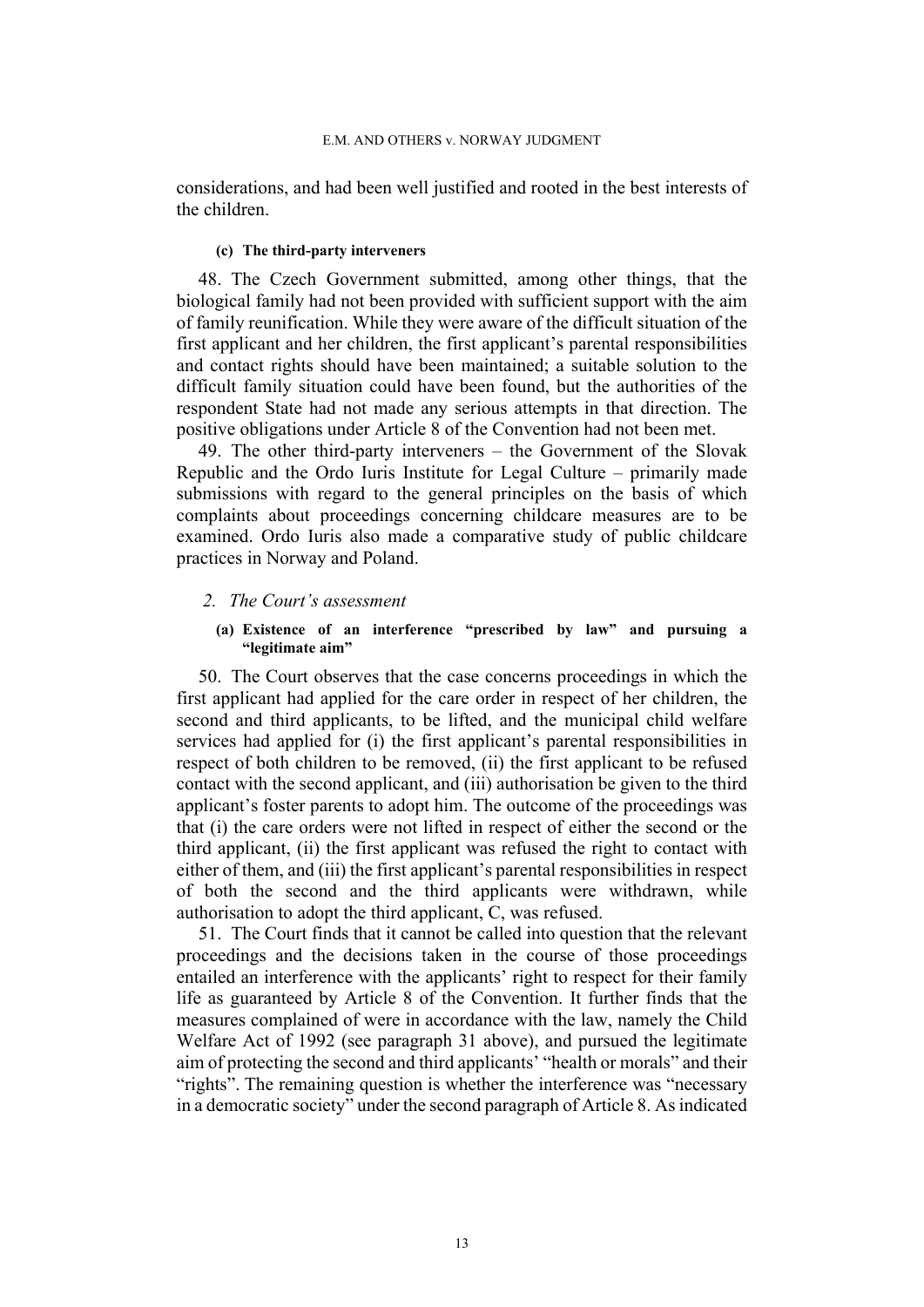considerations, and had been well justified and rooted in the best interests of the children.

### **(c) The third-party interveners**

48. The Czech Government submitted, among other things, that the biological family had not been provided with sufficient support with the aim of family reunification. While they were aware of the difficult situation of the first applicant and her children, the first applicant's parental responsibilities and contact rights should have been maintained; a suitable solution to the difficult family situation could have been found, but the authorities of the respondent State had not made any serious attempts in that direction. The positive obligations under Article 8 of the Convention had not been met.

49. The other third-party interveners – the Government of the Slovak Republic and the Ordo Iuris Institute for Legal Culture – primarily made submissions with regard to the general principles on the basis of which complaints about proceedings concerning childcare measures are to be examined. Ordo Iuris also made a comparative study of public childcare practices in Norway and Poland.

#### *2. The Court's assessment*

### **(a) Existence of an interference "prescribed by law" and pursuing a "legitimate aim"**

50. The Court observes that the case concerns proceedings in which the first applicant had applied for the care order in respect of her children, the second and third applicants, to be lifted, and the municipal child welfare services had applied for (i) the first applicant's parental responsibilities in respect of both children to be removed, (ii) the first applicant to be refused contact with the second applicant, and (iii) authorisation be given to the third applicant's foster parents to adopt him. The outcome of the proceedings was that (i) the care orders were not lifted in respect of either the second or the third applicant, (ii) the first applicant was refused the right to contact with either of them, and (iii) the first applicant's parental responsibilities in respect of both the second and the third applicants were withdrawn, while authorisation to adopt the third applicant, C, was refused.

51. The Court finds that it cannot be called into question that the relevant proceedings and the decisions taken in the course of those proceedings entailed an interference with the applicants' right to respect for their family life as guaranteed by Article 8 of the Convention. It further finds that the measures complained of were in accordance with the law, namely the Child Welfare Act of 1992 (see paragraph [31](#page-10-0) above), and pursued the legitimate aim of protecting the second and third applicants' "health or morals" and their "rights". The remaining question is whether the interference was "necessary in a democratic society" under the second paragraph of Article 8. As indicated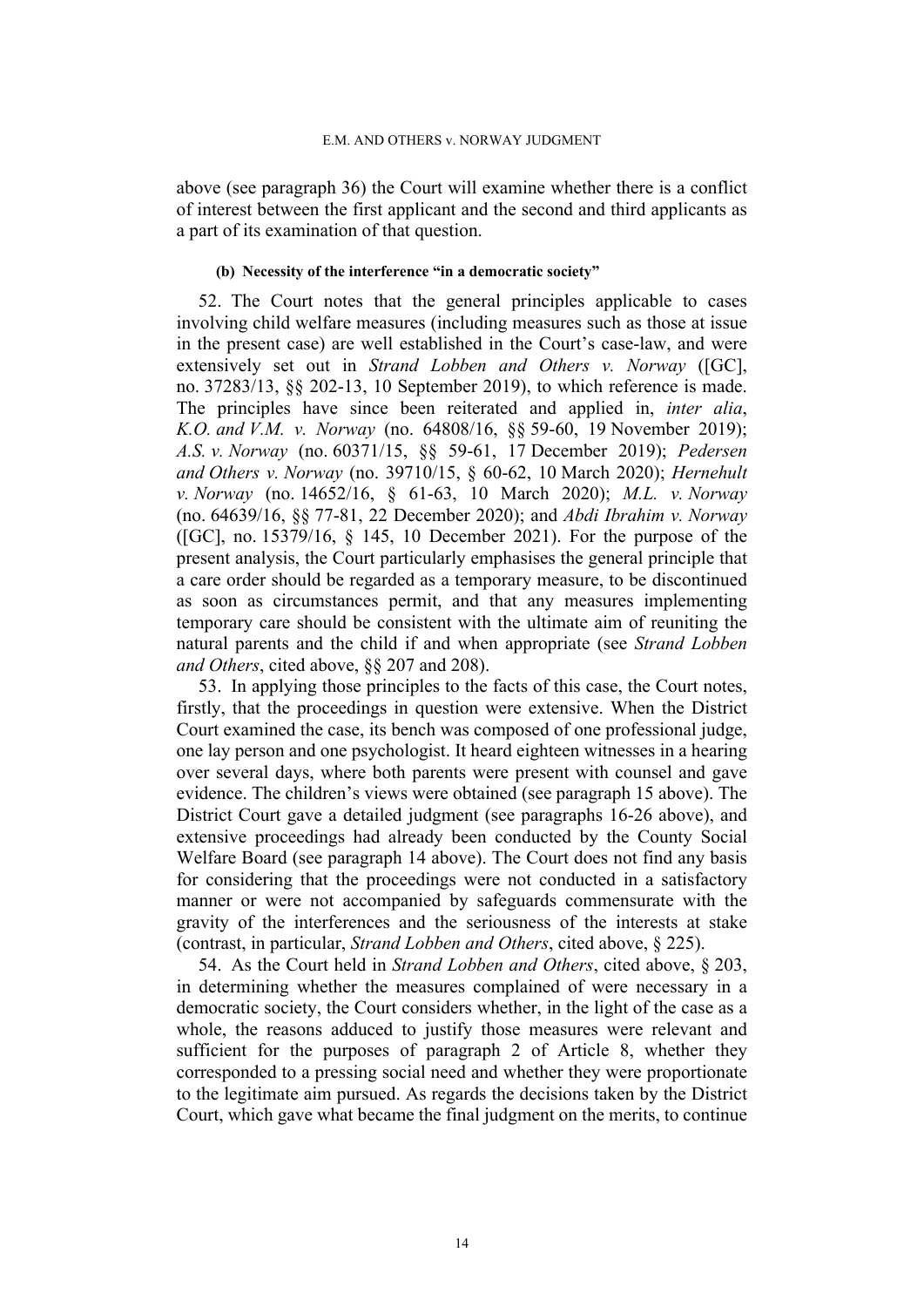above (see paragraph [36](#page-12-0)) the Court will examine whether there is a conflict of interest between the first applicant and the second and third applicants as a part of its examination of that question.

#### **(b) Necessity of the interference "in a democratic society"**

52. The Court notes that the general principles applicable to cases involving child welfare measures (including measures such as those at issue in the present case) are well established in the Court's case-law, and were extensively set out in *Strand Lobben and Others v. Norway* ([GC], no. 37283/13, §§ 202-13, 10 September 2019), to which reference is made. The principles have since been reiterated and applied in, *inter alia*, *K.O. and V.M. v. Norway* (no. 64808/16, §§ 59-60, 19 November 2019); *A.S. v. Norway* (no. 60371/15, §§ 59-61, 17 December 2019); *Pedersen and Others v. Norway* (no. 39710/15, § 60-62, 10 March 2020); *Hernehult v. Norway* (no. 14652/16, § 61-63, 10 March 2020); *M.L. v. Norway* (no. 64639/16, §§ 77-81, 22 December 2020); and *Abdi Ibrahim v. Norway* ([GC], no. 15379/16, § 145, 10 December 2021). For the purpose of the present analysis, the Court particularly emphasises the general principle that a care order should be regarded as a temporary measure, to be discontinued as soon as circumstances permit, and that any measures implementing temporary care should be consistent with the ultimate aim of reuniting the natural parents and the child if and when appropriate (see *Strand Lobben and Others*, cited above, §§ 207 and 208).

53. In applying those principles to the facts of this case, the Court notes, firstly, that the proceedings in question were extensive. When the District Court examined the case, its bench was composed of one professional judge, one lay person and one psychologist. It heard eighteen witnesses in a hearing over several days, where both parents were present with counsel and gave evidence. The children's views were obtained (see paragraph [15](#page-6-1) above). The District Court gave a detailed judgment (see paragraphs [16-](#page-6-0)[26](#page-9-0) above), and extensive proceedings had already been conducted by the County Social Welfare Board (see paragraph [14](#page-5-0) above). The Court does not find any basis for considering that the proceedings were not conducted in a satisfactory manner or were not accompanied by safeguards commensurate with the gravity of the interferences and the seriousness of the interests at stake (contrast, in particular, *Strand Lobben and Others*, cited above, § 225).

54. As the Court held in *Strand Lobben and Others*, cited above, § 203, in determining whether the measures complained of were necessary in a democratic society, the Court considers whether, in the light of the case as a whole, the reasons adduced to justify those measures were relevant and sufficient for the purposes of paragraph 2 of Article 8, whether they corresponded to a pressing social need and whether they were proportionate to the legitimate aim pursued. As regards the decisions taken by the District Court, which gave what became the final judgment on the merits, to continue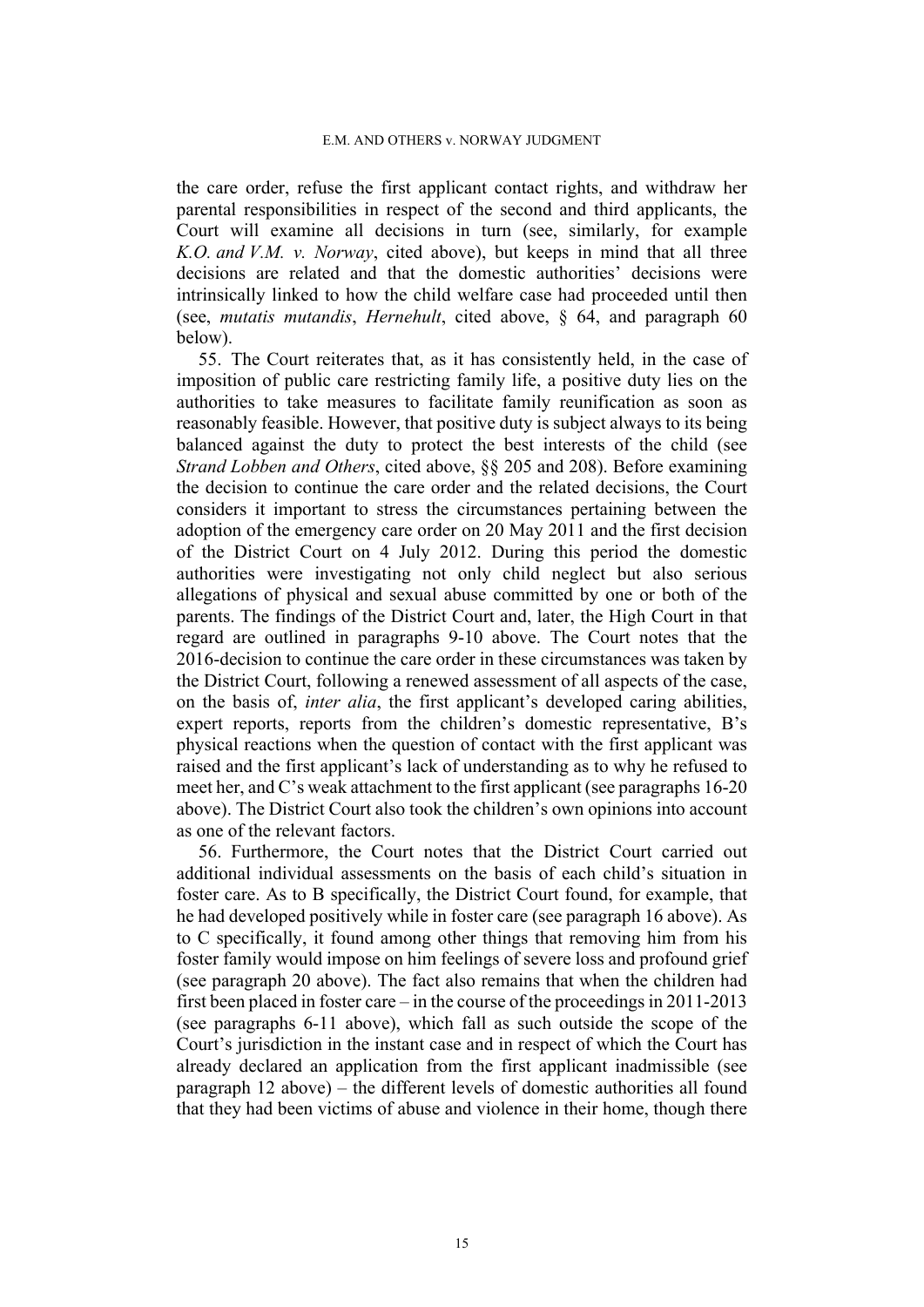the care order, refuse the first applicant contact rights, and withdraw her parental responsibilities in respect of the second and third applicants, the Court will examine all decisions in turn (see, similarly, for example *K.O. and V.M. v. Norway*, cited above), but keeps in mind that all three decisions are related and that the domestic authorities' decisions were intrinsically linked to how the child welfare case had proceeded until then (see, *mutatis mutandis*, *Hernehult*, cited above, § 64, and paragraph 60 below).

55. The Court reiterates that, as it has consistently held, in the case of imposition of public care restricting family life, a positive duty lies on the authorities to take measures to facilitate family reunification as soon as reasonably feasible. However, that positive duty is subject always to its being balanced against the duty to protect the best interests of the child (see *Strand Lobben and Others*, cited above, §§ 205 and 208). Before examining the decision to continue the care order and the related decisions, the Court considers it important to stress the circumstances pertaining between the adoption of the emergency care order on 20 May 2011 and the first decision of the District Court on 4 July 2012. During this period the domestic authorities were investigating not only child neglect but also serious allegations of physical and sexual abuse committed by one or both of the parents. The findings of the District Court and, later, the High Court in that regard are outlined in paragraphs 9-10 above. The Court notes that the 2016-decision to continue the care order in these circumstances was taken by the District Court, following a renewed assessment of all aspects of the case, on the basis of, *inter alia*, the first applicant's developed caring abilities, expert reports, reports from the children's domestic representative, B's physical reactions when the question of contact with the first applicant was raised and the first applicant's lack of understanding as to why he refused to meet her, and C's weak attachment to the first applicant (see paragraphs [16-](#page-6-0)[20](#page-7-0)  above). The District Court also took the children's own opinions into account as one of the relevant factors.

<span id="page-16-0"></span>56. Furthermore, the Court notes that the District Court carried out additional individual assessments on the basis of each child's situation in foster care. As to B specifically, the District Court found, for example, that he had developed positively while in foster care (see paragraph [16](#page-6-0) above). As to C specifically, it found among other things that removing him from his foster family would impose on him feelings of severe loss and profound grief (see paragraph [20](#page-7-0) above). The fact also remains that when the children had first been placed in foster care – in the course of the proceedings in 2011-2013 (see paragraphs [6-](#page-3-0)[11](#page-5-1) above), which fall as such outside the scope of the Court's jurisdiction in the instant case and in respect of which the Court has already declared an application from the first applicant inadmissible (see paragraph [12](#page-5-2) above) – the different levels of domestic authorities all found that they had been victims of abuse and violence in their home, though there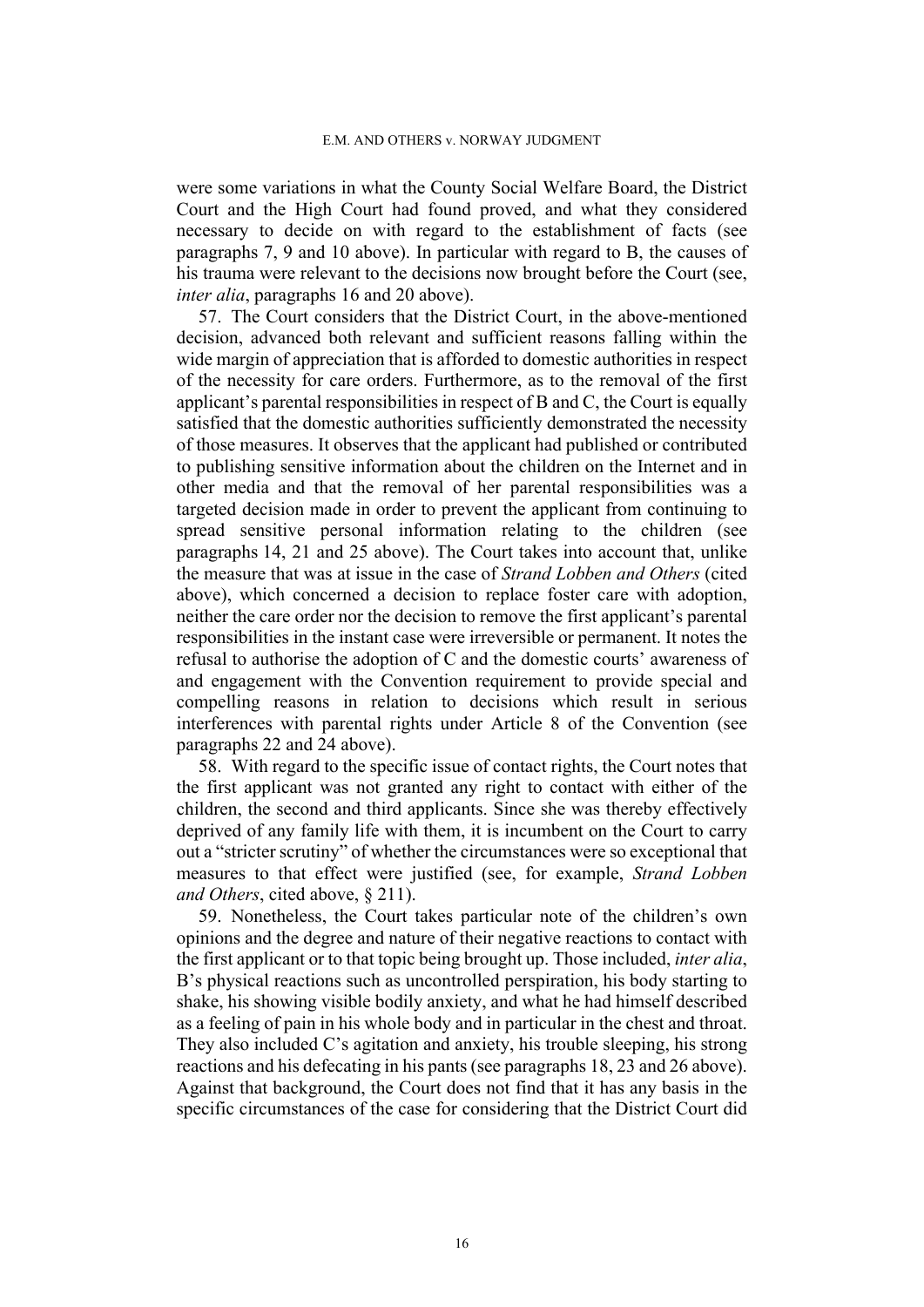were some variations in what the County Social Welfare Board, the District Court and the High Court had found proved, and what they considered necessary to decide on with regard to the establishment of facts (see paragraphs [7,](#page-3-1) [9](#page-4-0) and [10](#page-4-1) above). In particular with regard to B, the causes of his trauma were relevant to the decisions now brought before the Court (see, *inter alia*, paragraphs [16](#page-6-0) and [20](#page-7-0) above).

57. The Court considers that the District Court, in the above-mentioned decision, advanced both relevant and sufficient reasons falling within the wide margin of appreciation that is afforded to domestic authorities in respect of the necessity for care orders. Furthermore, as to the removal of the first applicant's parental responsibilities in respect of B and C, the Court is equally satisfied that the domestic authorities sufficiently demonstrated the necessity of those measures. It observes that the applicant had published or contributed to publishing sensitive information about the children on the Internet and in other media and that the removal of her parental responsibilities was a targeted decision made in order to prevent the applicant from continuing to spread sensitive personal information relating to the children (see paragraphs 14, [21](#page-8-0) and [25](#page-9-1) above). The Court takes into account that, unlike the measure that was at issue in the case of *Strand Lobben and Others* (cited above), which concerned a decision to replace foster care with adoption, neither the care order nor the decision to remove the first applicant's parental responsibilities in the instant case were irreversible or permanent. It notes the refusal to authorise the adoption of C and the domestic courts' awareness of and engagement with the Convention requirement to provide special and compelling reasons in relation to decisions which result in serious interferences with parental rights under Article 8 of the Convention (see paragraphs 22 and 24 above).

58. With regard to the specific issue of contact rights, the Court notes that the first applicant was not granted any right to contact with either of the children, the second and third applicants. Since she was thereby effectively deprived of any family life with them, it is incumbent on the Court to carry out a "stricter scrutiny" of whether the circumstances were so exceptional that measures to that effect were justified (see, for example, *Strand Lobben and Others*, cited above, § 211).

59. Nonetheless, the Court takes particular note of the children's own opinions and the degree and nature of their negative reactions to contact with the first applicant or to that topic being brought up. Those included, *inter alia*, B's physical reactions such as uncontrolled perspiration, his body starting to shake, his showing visible bodily anxiety, and what he had himself described as a feeling of pain in his whole body and in particular in the chest and throat. They also included C's agitation and anxiety, his trouble sleeping, his strong reactions and his defecating in his pants (see paragraphs [18](#page-7-1), [23](#page-8-1) and [26](#page-9-0) above). Against that background, the Court does not find that it has any basis in the specific circumstances of the case for considering that the District Court did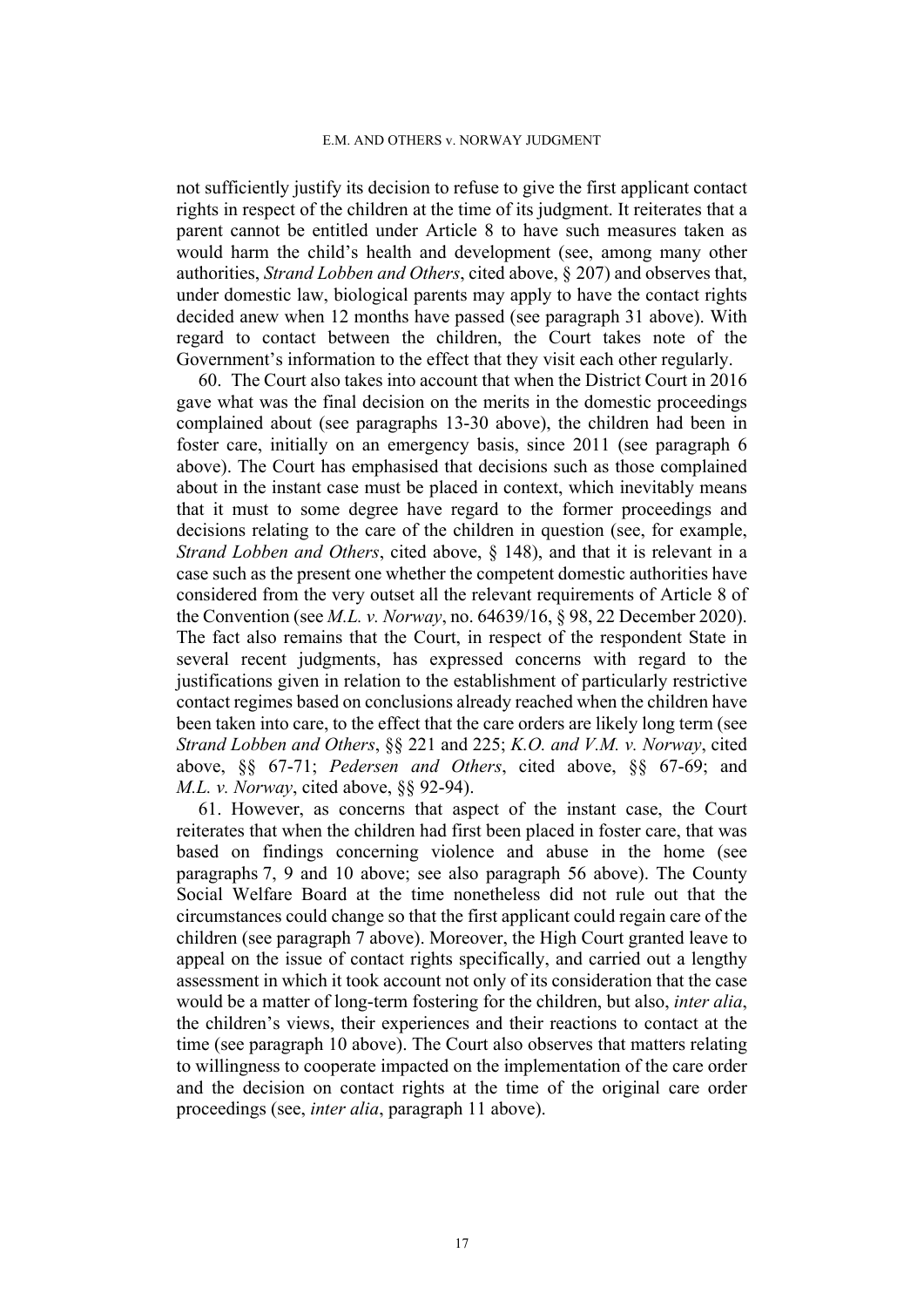not sufficiently justify its decision to refuse to give the first applicant contact rights in respect of the children at the time of its judgment. It reiterates that a parent cannot be entitled under Article 8 to have such measures taken as would harm the child's health and development (see, among many other authorities, *Strand Lobben and Others*, cited above, § 207) and observes that, under domestic law, biological parents may apply to have the contact rights decided anew when 12 months have passed (see paragraph 31 above). With regard to contact between the children, the Court takes note of the Government's information to the effect that they visit each other regularly.

60. The Court also takes into account that when the District Court in 2016 gave what was the final decision on the merits in the domestic proceedings complained about (see paragraphs [13-](#page-5-3)[30](#page-10-1) above), the children had been in foster care, initially on an emergency basis, since 2011 (see paragraph [6](#page-3-0)  above). The Court has emphasised that decisions such as those complained about in the instant case must be placed in context, which inevitably means that it must to some degree have regard to the former proceedings and decisions relating to the care of the children in question (see, for example, *Strand Lobben and Others*, cited above, § 148), and that it is relevant in a case such as the present one whether the competent domestic authorities have considered from the very outset all the relevant requirements of Article 8 of the Convention (see *M.L. v. Norway*, no. 64639/16, § 98, 22 December 2020). The fact also remains that the Court, in respect of the respondent State in several recent judgments, has expressed concerns with regard to the justifications given in relation to the establishment of particularly restrictive contact regimes based on conclusions already reached when the children have been taken into care, to the effect that the care orders are likely long term (see *Strand Lobben and Others*, §§ 221 and 225; *K.O. and V.M. v. Norway*, cited above, §§ 67-71; *Pedersen and Others*, cited above, §§ 67-69; and *M.L. v. Norway*, cited above, §§ 92-94).

61. However, as concerns that aspect of the instant case, the Court reiterates that when the children had first been placed in foster care, that was based on findings concerning violence and abuse in the home (see paragraphs [7](#page-3-1), [9](#page-4-0) and [10](#page-4-1) above; see also paragraph [56](#page-16-0) above). The County Social Welfare Board at the time nonetheless did not rule out that the circumstances could change so that the first applicant could regain care of the children (see paragraph 7 above). Moreover, the High Court granted leave to appeal on the issue of contact rights specifically, and carried out a lengthy assessment in which it took account not only of its consideration that the case would be a matter of long-term fostering for the children, but also, *inter alia*, the children's views, their experiences and their reactions to contact at the time (see paragraph [10](#page-4-1) above). The Court also observes that matters relating to willingness to cooperate impacted on the implementation of the care order and the decision on contact rights at the time of the original care order proceedings (see, *inter alia*, paragraph 11 above).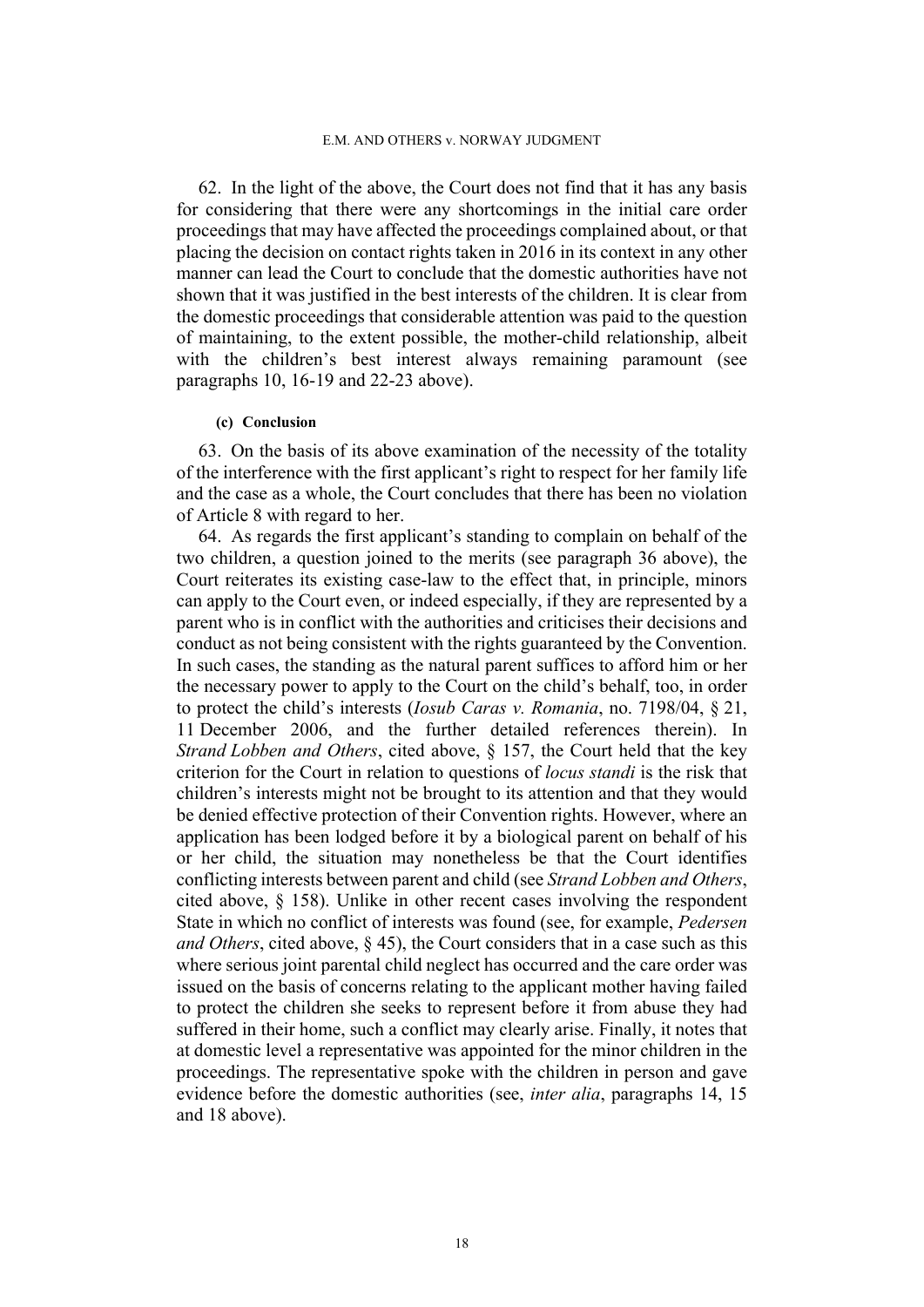62. In the light of the above, the Court does not find that it has any basis for considering that there were any shortcomings in the initial care order proceedings that may have affected the proceedings complained about, or that placing the decision on contact rights taken in 2016 in its context in any other manner can lead the Court to conclude that the domestic authorities have not shown that it was justified in the best interests of the children. It is clear from the domestic proceedings that considerable attention was paid to the question of maintaining, to the extent possible, the mother-child relationship, albeit with the children's best interest always remaining paramount (see paragraphs 10, 16-19 and 22-23 above).

#### **(c) Conclusion**

63. On the basis of its above examination of the necessity of the totality of the interference with the first applicant's right to respect for her family life and the case as a whole, the Court concludes that there has been no violation of Article 8 with regard to her.

64. As regards the first applicant's standing to complain on behalf of the two children, a question joined to the merits (see paragraph 36 above), the Court reiterates its existing case-law to the effect that, in principle, minors can apply to the Court even, or indeed especially, if they are represented by a parent who is in conflict with the authorities and criticises their decisions and conduct as not being consistent with the rights guaranteed by the Convention. In such cases, the standing as the natural parent suffices to afford him or her the necessary power to apply to the Court on the child's behalf, too, in order to protect the child's interests (*Iosub Caras v. Romania*, no. 7198/04, § 21, 11 December 2006, and the further detailed references therein). In *Strand Lobben and Others*, cited above, § 157, the Court held that the key criterion for the Court in relation to questions of *locus standi* is the risk that children's interests might not be brought to its attention and that they would be denied effective protection of their Convention rights. However, where an application has been lodged before it by a biological parent on behalf of his or her child, the situation may nonetheless be that the Court identifies conflicting interests between parent and child (see *Strand Lobben and Others*, cited above, § 158). Unlike in other recent cases involving the respondent State in which no conflict of interests was found (see, for example, *Pedersen and Others*, cited above, § 45), the Court considers that in a case such as this where serious joint parental child neglect has occurred and the care order was issued on the basis of concerns relating to the applicant mother having failed to protect the children she seeks to represent before it from abuse they had suffered in their home, such a conflict may clearly arise. Finally, it notes that at domestic level a representative was appointed for the minor children in the proceedings. The representative spoke with the children in person and gave evidence before the domestic authorities (see, *inter alia*, paragraphs 14, 15 and 18 above).